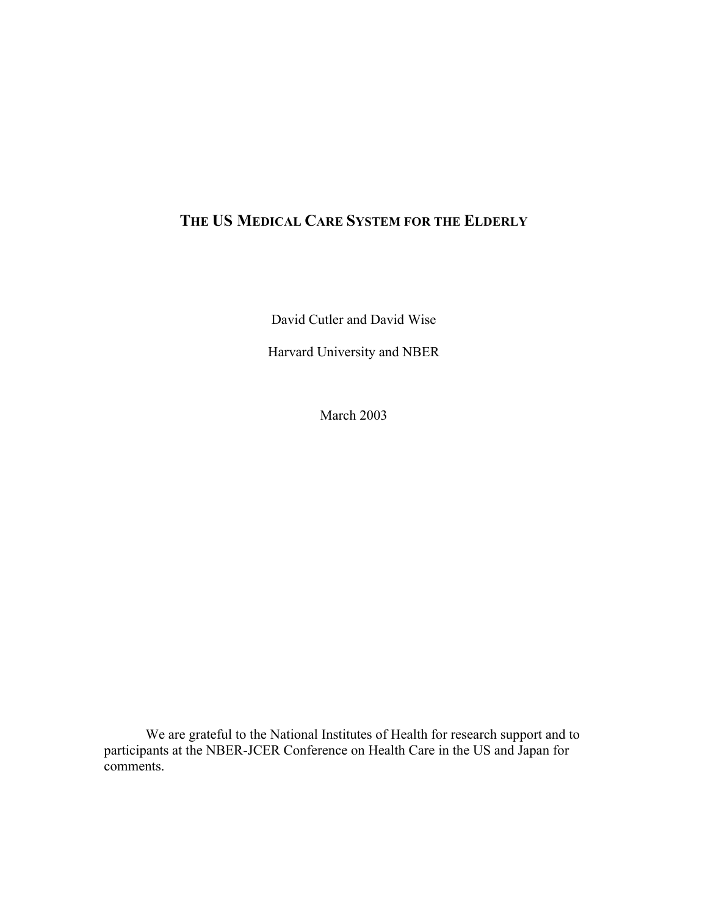# **THE US MEDICAL CARE SYSTEM FOR THE ELDERLY**

David Cutler and David Wise

Harvard University and NBER

March 2003

 We are grateful to the National Institutes of Health for research support and to participants at the NBER-JCER Conference on Health Care in the US and Japan for comments.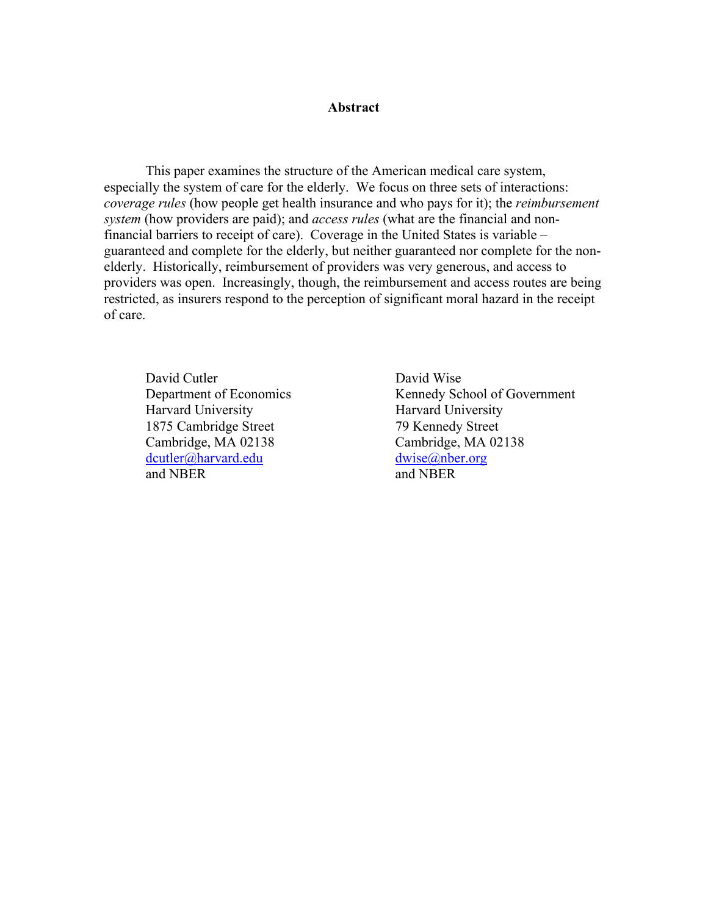#### **Abstract**

This paper examines the structure of the American medical care system, especially the system of care for the elderly. We focus on three sets of interactions: *coverage rules* (how people get health insurance and who pays for it); the *reimbursement system* (how providers are paid); and *access rules* (what are the financial and nonfinancial barriers to receipt of care). Coverage in the United States is variable – guaranteed and complete for the elderly, but neither guaranteed nor complete for the nonelderly. Historically, reimbursement of providers was very generous, and access to providers was open. Increasingly, though, the reimbursement and access routes are being restricted, as insurers respond to the perception of significant moral hazard in the receipt of care.

David Cutler David Wise Harvard University Harvard University 1875 Cambridge Street 79 Kennedy Street Cambridge, MA 02138 Cambridge, MA 02138 dcutler@harvard.edu dwise@nber.org and NBER and NBER

Department of Economics Kennedy School of Government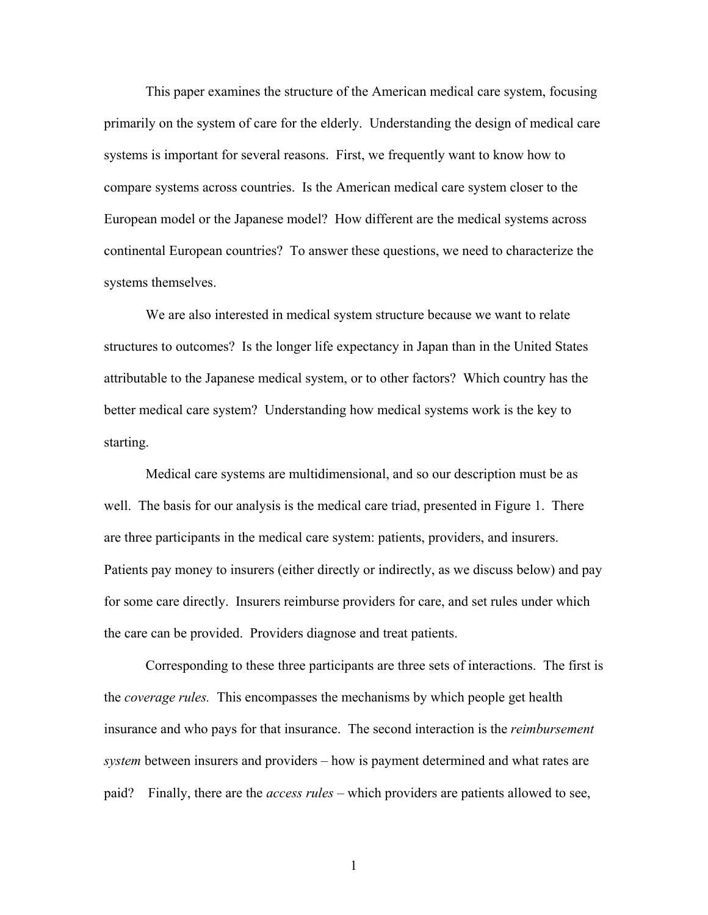This paper examines the structure of the American medical care system, focusing primarily on the system of care for the elderly. Understanding the design of medical care systems is important for several reasons. First, we frequently want to know how to compare systems across countries. Is the American medical care system closer to the European model or the Japanese model? How different are the medical systems across continental European countries? To answer these questions, we need to characterize the systems themselves.

We are also interested in medical system structure because we want to relate structures to outcomes? Is the longer life expectancy in Japan than in the United States attributable to the Japanese medical system, or to other factors? Which country has the better medical care system? Understanding how medical systems work is the key to starting.

Medical care systems are multidimensional, and so our description must be as well. The basis for our analysis is the medical care triad, presented in Figure 1. There are three participants in the medical care system: patients, providers, and insurers. Patients pay money to insurers (either directly or indirectly, as we discuss below) and pay for some care directly. Insurers reimburse providers for care, and set rules under which the care can be provided. Providers diagnose and treat patients.

Corresponding to these three participants are three sets of interactions. The first is the *coverage rules.* This encompasses the mechanisms by which people get health insurance and who pays for that insurance. The second interaction is the *reimbursement system* between insurers and providers – how is payment determined and what rates are paid? Finally, there are the *access rules* – which providers are patients allowed to see,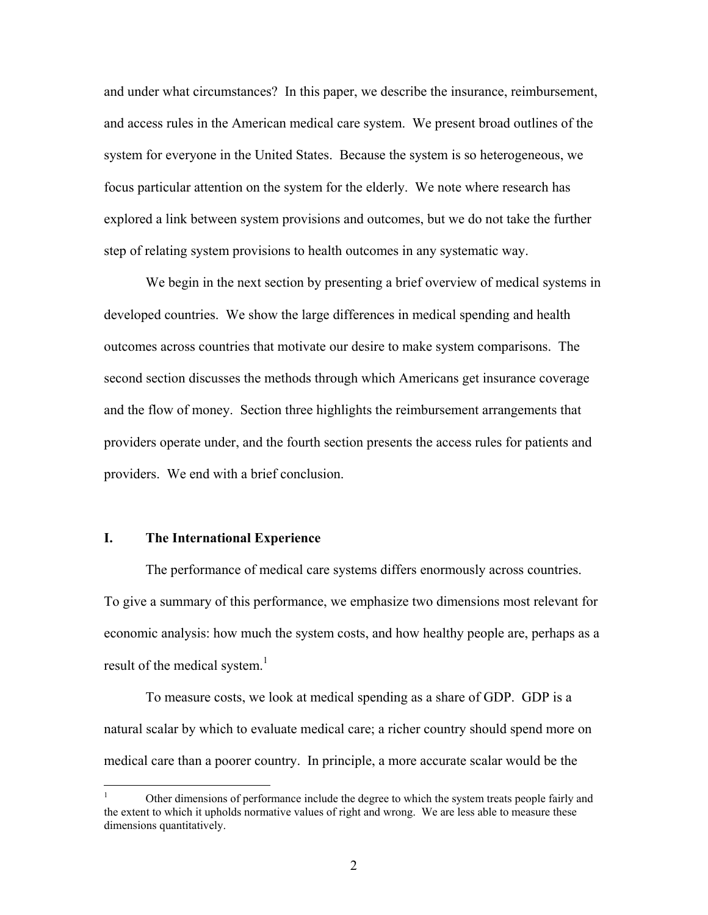and under what circumstances? In this paper, we describe the insurance, reimbursement, and access rules in the American medical care system. We present broad outlines of the system for everyone in the United States. Because the system is so heterogeneous, we focus particular attention on the system for the elderly. We note where research has explored a link between system provisions and outcomes, but we do not take the further step of relating system provisions to health outcomes in any systematic way.

We begin in the next section by presenting a brief overview of medical systems in developed countries. We show the large differences in medical spending and health outcomes across countries that motivate our desire to make system comparisons. The second section discusses the methods through which Americans get insurance coverage and the flow of money. Section three highlights the reimbursement arrangements that providers operate under, and the fourth section presents the access rules for patients and providers. We end with a brief conclusion.

#### **I. The International Experience**

The performance of medical care systems differs enormously across countries. To give a summary of this performance, we emphasize two dimensions most relevant for economic analysis: how much the system costs, and how healthy people are, perhaps as a result of the medical system. $<sup>1</sup>$ </sup>

To measure costs, we look at medical spending as a share of GDP. GDP is a natural scalar by which to evaluate medical care; a richer country should spend more on medical care than a poorer country. In principle, a more accurate scalar would be the

 $\frac{1}{1}$  Other dimensions of performance include the degree to which the system treats people fairly and the extent to which it upholds normative values of right and wrong. We are less able to measure these dimensions quantitatively.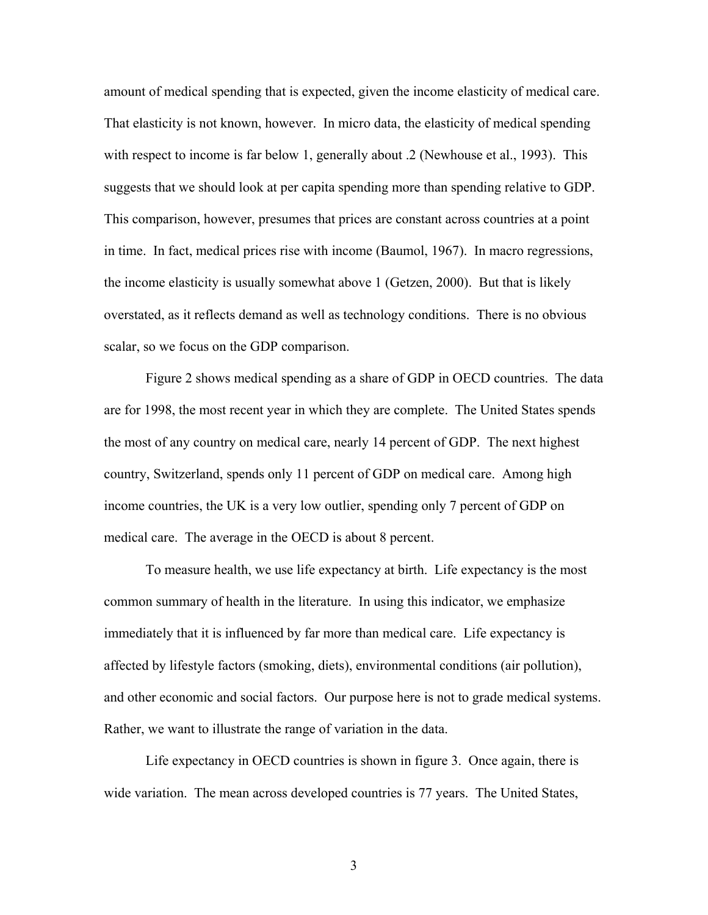amount of medical spending that is expected, given the income elasticity of medical care. That elasticity is not known, however. In micro data, the elasticity of medical spending with respect to income is far below 1, generally about .2 (Newhouse et al., 1993). This suggests that we should look at per capita spending more than spending relative to GDP. This comparison, however, presumes that prices are constant across countries at a point in time. In fact, medical prices rise with income (Baumol, 1967). In macro regressions, the income elasticity is usually somewhat above 1 (Getzen, 2000). But that is likely overstated, as it reflects demand as well as technology conditions. There is no obvious scalar, so we focus on the GDP comparison.

Figure 2 shows medical spending as a share of GDP in OECD countries. The data are for 1998, the most recent year in which they are complete. The United States spends the most of any country on medical care, nearly 14 percent of GDP. The next highest country, Switzerland, spends only 11 percent of GDP on medical care. Among high income countries, the UK is a very low outlier, spending only 7 percent of GDP on medical care. The average in the OECD is about 8 percent.

To measure health, we use life expectancy at birth. Life expectancy is the most common summary of health in the literature. In using this indicator, we emphasize immediately that it is influenced by far more than medical care. Life expectancy is affected by lifestyle factors (smoking, diets), environmental conditions (air pollution), and other economic and social factors. Our purpose here is not to grade medical systems. Rather, we want to illustrate the range of variation in the data.

Life expectancy in OECD countries is shown in figure 3. Once again, there is wide variation. The mean across developed countries is 77 years. The United States,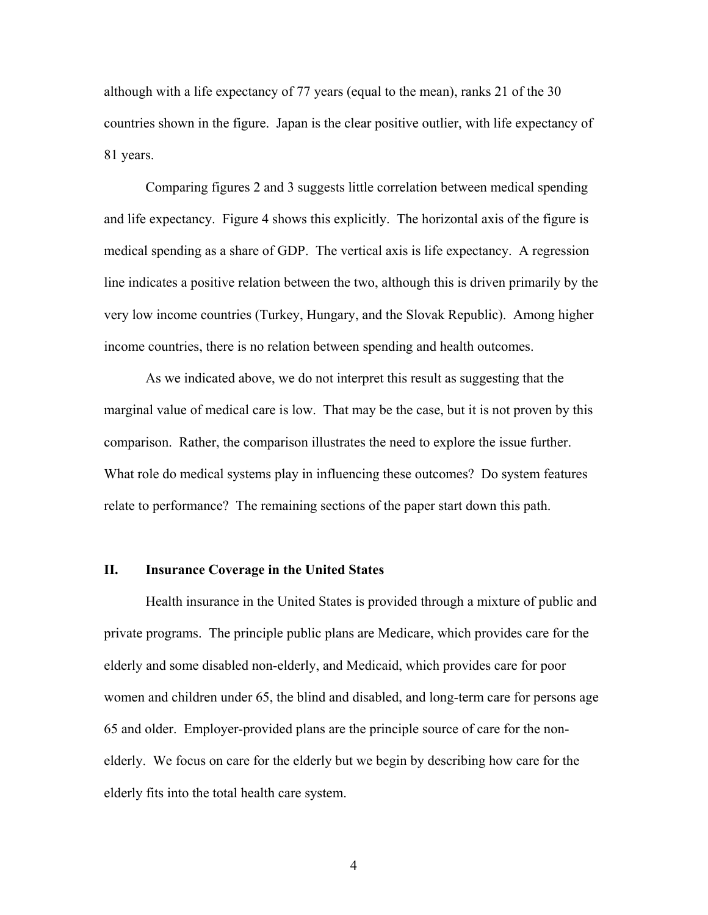although with a life expectancy of 77 years (equal to the mean), ranks 21 of the 30 countries shown in the figure. Japan is the clear positive outlier, with life expectancy of 81 years.

Comparing figures 2 and 3 suggests little correlation between medical spending and life expectancy. Figure 4 shows this explicitly. The horizontal axis of the figure is medical spending as a share of GDP. The vertical axis is life expectancy. A regression line indicates a positive relation between the two, although this is driven primarily by the very low income countries (Turkey, Hungary, and the Slovak Republic). Among higher income countries, there is no relation between spending and health outcomes.

As we indicated above, we do not interpret this result as suggesting that the marginal value of medical care is low. That may be the case, but it is not proven by this comparison. Rather, the comparison illustrates the need to explore the issue further. What role do medical systems play in influencing these outcomes? Do system features relate to performance? The remaining sections of the paper start down this path.

## **II. Insurance Coverage in the United States**

 Health insurance in the United States is provided through a mixture of public and private programs. The principle public plans are Medicare, which provides care for the elderly and some disabled non-elderly, and Medicaid, which provides care for poor women and children under 65, the blind and disabled, and long-term care for persons age 65 and older. Employer-provided plans are the principle source of care for the nonelderly. We focus on care for the elderly but we begin by describing how care for the elderly fits into the total health care system.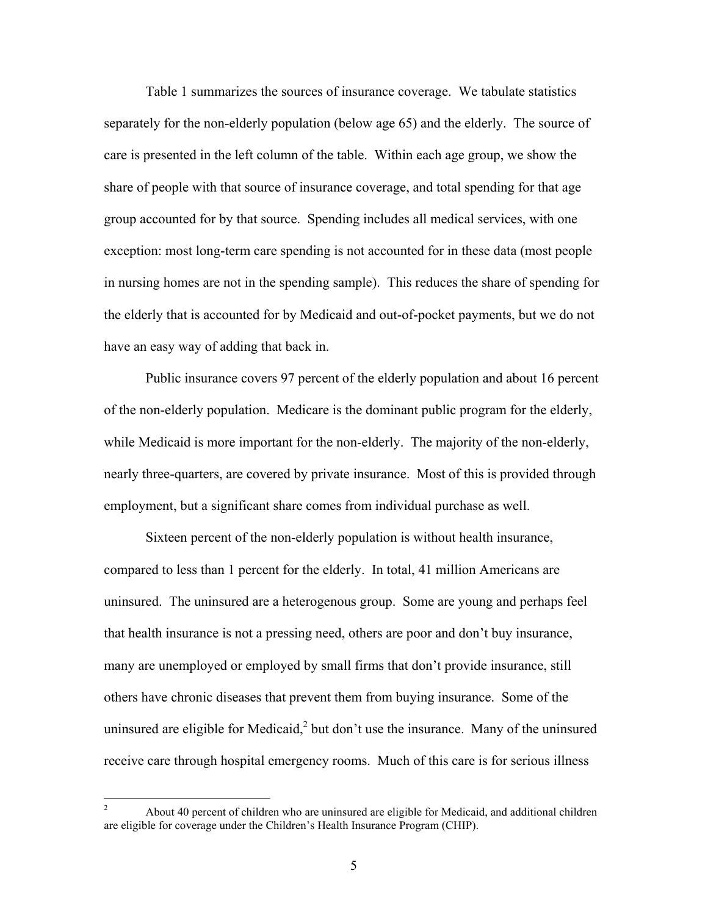Table 1 summarizes the sources of insurance coverage. We tabulate statistics separately for the non-elderly population (below age 65) and the elderly. The source of care is presented in the left column of the table. Within each age group, we show the share of people with that source of insurance coverage, and total spending for that age group accounted for by that source. Spending includes all medical services, with one exception: most long-term care spending is not accounted for in these data (most people in nursing homes are not in the spending sample). This reduces the share of spending for the elderly that is accounted for by Medicaid and out-of-pocket payments, but we do not have an easy way of adding that back in.

 Public insurance covers 97 percent of the elderly population and about 16 percent of the non-elderly population. Medicare is the dominant public program for the elderly, while Medicaid is more important for the non-elderly. The majority of the non-elderly, nearly three-quarters, are covered by private insurance. Most of this is provided through employment, but a significant share comes from individual purchase as well.

Sixteen percent of the non-elderly population is without health insurance, compared to less than 1 percent for the elderly. In total, 41 million Americans are uninsured. The uninsured are a heterogenous group. Some are young and perhaps feel that health insurance is not a pressing need, others are poor and don't buy insurance, many are unemployed or employed by small firms that don't provide insurance, still others have chronic diseases that prevent them from buying insurance. Some of the uninsured are eligible for Medicaid, $2$  but don't use the insurance. Many of the uninsured receive care through hospital emergency rooms. Much of this care is for serious illness

 $\frac{1}{2}$  About 40 percent of children who are uninsured are eligible for Medicaid, and additional children are eligible for coverage under the Children's Health Insurance Program (CHIP).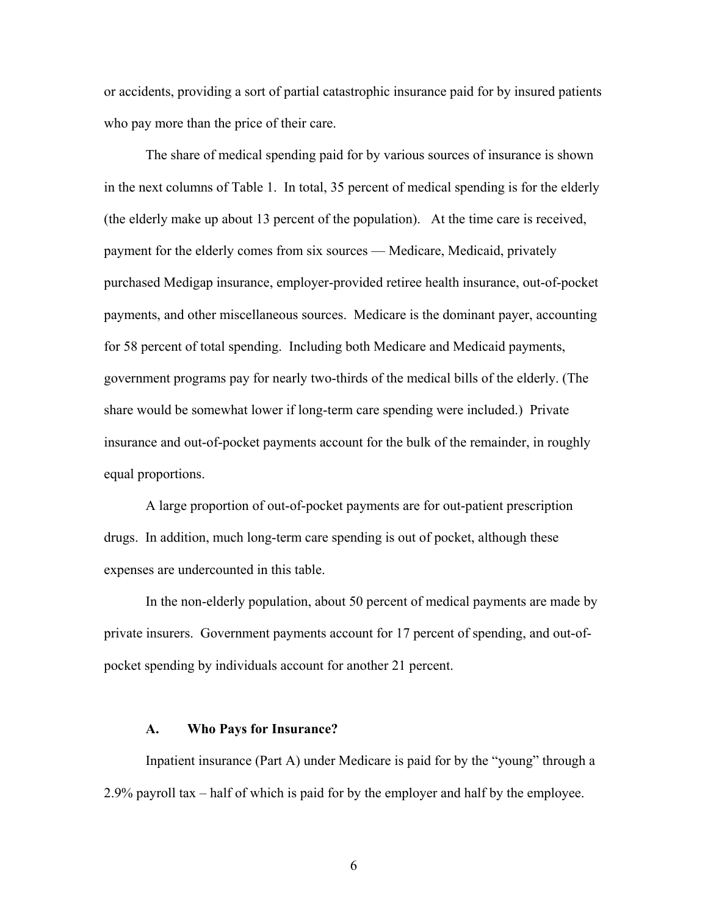or accidents, providing a sort of partial catastrophic insurance paid for by insured patients who pay more than the price of their care.

The share of medical spending paid for by various sources of insurance is shown in the next columns of Table 1. In total, 35 percent of medical spending is for the elderly (the elderly make up about 13 percent of the population). At the time care is received, payment for the elderly comes from six sources — Medicare, Medicaid, privately purchased Medigap insurance, employer-provided retiree health insurance, out-of-pocket payments, and other miscellaneous sources. Medicare is the dominant payer, accounting for 58 percent of total spending. Including both Medicare and Medicaid payments, government programs pay for nearly two-thirds of the medical bills of the elderly. (The share would be somewhat lower if long-term care spending were included.) Private insurance and out-of-pocket payments account for the bulk of the remainder, in roughly equal proportions.

A large proportion of out-of-pocket payments are for out-patient prescription drugs. In addition, much long-term care spending is out of pocket, although these expenses are undercounted in this table.

In the non-elderly population, about 50 percent of medical payments are made by private insurers. Government payments account for 17 percent of spending, and out-ofpocket spending by individuals account for another 21 percent.

#### **A. Who Pays for Insurance?**

Inpatient insurance (Part A) under Medicare is paid for by the "young" through a 2.9% payroll tax – half of which is paid for by the employer and half by the employee.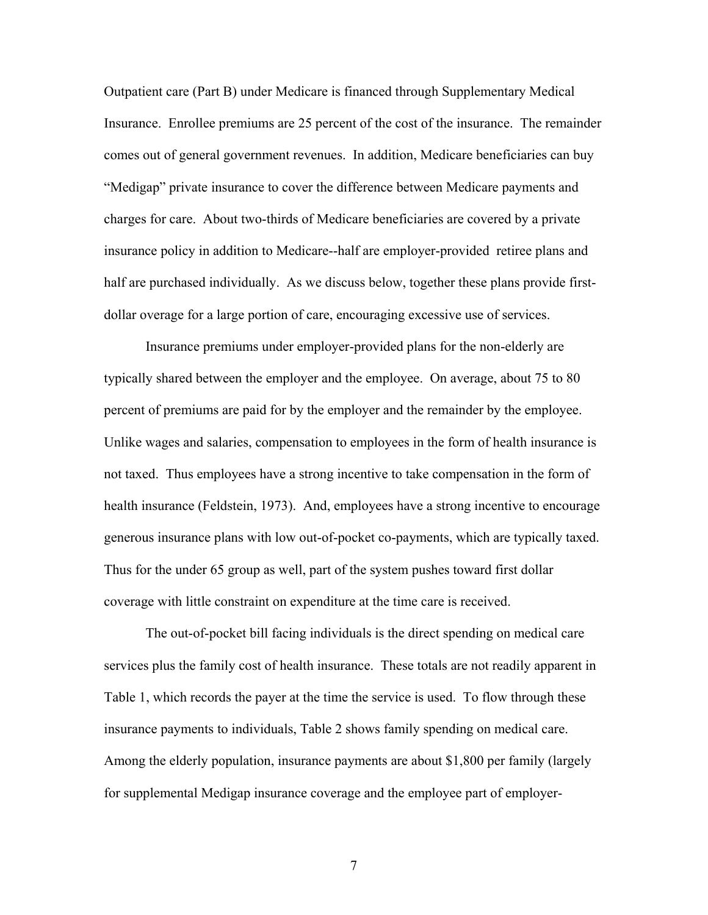Outpatient care (Part B) under Medicare is financed through Supplementary Medical Insurance. Enrollee premiums are 25 percent of the cost of the insurance. The remainder comes out of general government revenues. In addition, Medicare beneficiaries can buy "Medigap" private insurance to cover the difference between Medicare payments and charges for care. About two-thirds of Medicare beneficiaries are covered by a private insurance policy in addition to Medicare--half are employer-provided retiree plans and half are purchased individually. As we discuss below, together these plans provide firstdollar overage for a large portion of care, encouraging excessive use of services.

 Insurance premiums under employer-provided plans for the non-elderly are typically shared between the employer and the employee. On average, about 75 to 80 percent of premiums are paid for by the employer and the remainder by the employee. Unlike wages and salaries, compensation to employees in the form of health insurance is not taxed. Thus employees have a strong incentive to take compensation in the form of health insurance (Feldstein, 1973). And, employees have a strong incentive to encourage generous insurance plans with low out-of-pocket co-payments, which are typically taxed. Thus for the under 65 group as well, part of the system pushes toward first dollar coverage with little constraint on expenditure at the time care is received.

The out-of-pocket bill facing individuals is the direct spending on medical care services plus the family cost of health insurance. These totals are not readily apparent in Table 1, which records the payer at the time the service is used. To flow through these insurance payments to individuals, Table 2 shows family spending on medical care. Among the elderly population, insurance payments are about \$1,800 per family (largely for supplemental Medigap insurance coverage and the employee part of employer-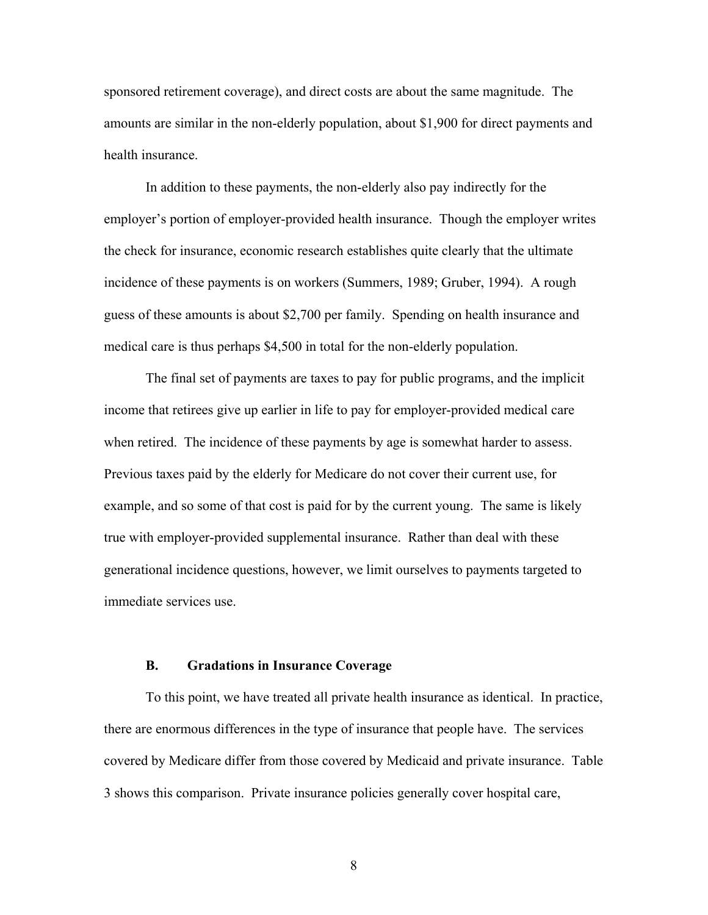sponsored retirement coverage), and direct costs are about the same magnitude. The amounts are similar in the non-elderly population, about \$1,900 for direct payments and health insurance.

In addition to these payments, the non-elderly also pay indirectly for the employer's portion of employer-provided health insurance. Though the employer writes the check for insurance, economic research establishes quite clearly that the ultimate incidence of these payments is on workers (Summers, 1989; Gruber, 1994). A rough guess of these amounts is about \$2,700 per family. Spending on health insurance and medical care is thus perhaps \$4,500 in total for the non-elderly population.

The final set of payments are taxes to pay for public programs, and the implicit income that retirees give up earlier in life to pay for employer-provided medical care when retired. The incidence of these payments by age is somewhat harder to assess. Previous taxes paid by the elderly for Medicare do not cover their current use, for example, and so some of that cost is paid for by the current young. The same is likely true with employer-provided supplemental insurance. Rather than deal with these generational incidence questions, however, we limit ourselves to payments targeted to immediate services use.

#### **B. Gradations in Insurance Coverage**

To this point, we have treated all private health insurance as identical. In practice, there are enormous differences in the type of insurance that people have. The services covered by Medicare differ from those covered by Medicaid and private insurance. Table 3 shows this comparison. Private insurance policies generally cover hospital care,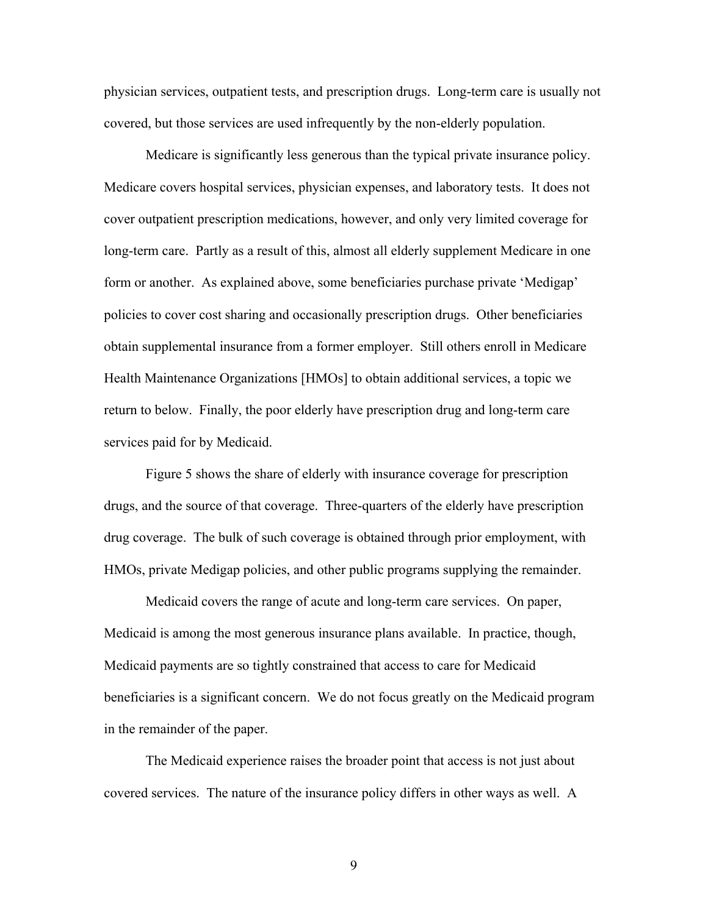physician services, outpatient tests, and prescription drugs. Long-term care is usually not covered, but those services are used infrequently by the non-elderly population.

Medicare is significantly less generous than the typical private insurance policy. Medicare covers hospital services, physician expenses, and laboratory tests. It does not cover outpatient prescription medications, however, and only very limited coverage for long-term care. Partly as a result of this, almost all elderly supplement Medicare in one form or another. As explained above, some beneficiaries purchase private 'Medigap' policies to cover cost sharing and occasionally prescription drugs. Other beneficiaries obtain supplemental insurance from a former employer. Still others enroll in Medicare Health Maintenance Organizations [HMOs] to obtain additional services, a topic we return to below. Finally, the poor elderly have prescription drug and long-term care services paid for by Medicaid.

Figure 5 shows the share of elderly with insurance coverage for prescription drugs, and the source of that coverage. Three-quarters of the elderly have prescription drug coverage. The bulk of such coverage is obtained through prior employment, with HMOs, private Medigap policies, and other public programs supplying the remainder.

Medicaid covers the range of acute and long-term care services. On paper, Medicaid is among the most generous insurance plans available. In practice, though, Medicaid payments are so tightly constrained that access to care for Medicaid beneficiaries is a significant concern. We do not focus greatly on the Medicaid program in the remainder of the paper.

The Medicaid experience raises the broader point that access is not just about covered services. The nature of the insurance policy differs in other ways as well. A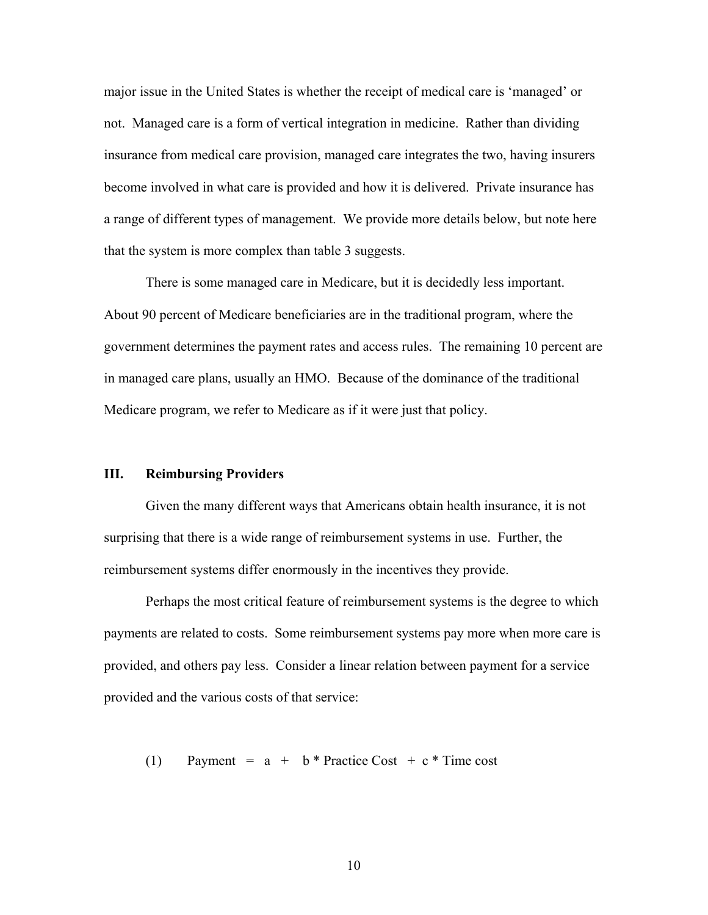major issue in the United States is whether the receipt of medical care is 'managed' or not. Managed care is a form of vertical integration in medicine. Rather than dividing insurance from medical care provision, managed care integrates the two, having insurers become involved in what care is provided and how it is delivered. Private insurance has a range of different types of management. We provide more details below, but note here that the system is more complex than table 3 suggests.

There is some managed care in Medicare, but it is decidedly less important. About 90 percent of Medicare beneficiaries are in the traditional program, where the government determines the payment rates and access rules. The remaining 10 percent are in managed care plans, usually an HMO. Because of the dominance of the traditional Medicare program, we refer to Medicare as if it were just that policy.

#### **III. Reimbursing Providers**

Given the many different ways that Americans obtain health insurance, it is not surprising that there is a wide range of reimbursement systems in use. Further, the reimbursement systems differ enormously in the incentives they provide.

Perhaps the most critical feature of reimbursement systems is the degree to which payments are related to costs. Some reimbursement systems pay more when more care is provided, and others pay less. Consider a linear relation between payment for a service provided and the various costs of that service:

(1) Payment =  $a + b * Practice Cost + c * Time cost$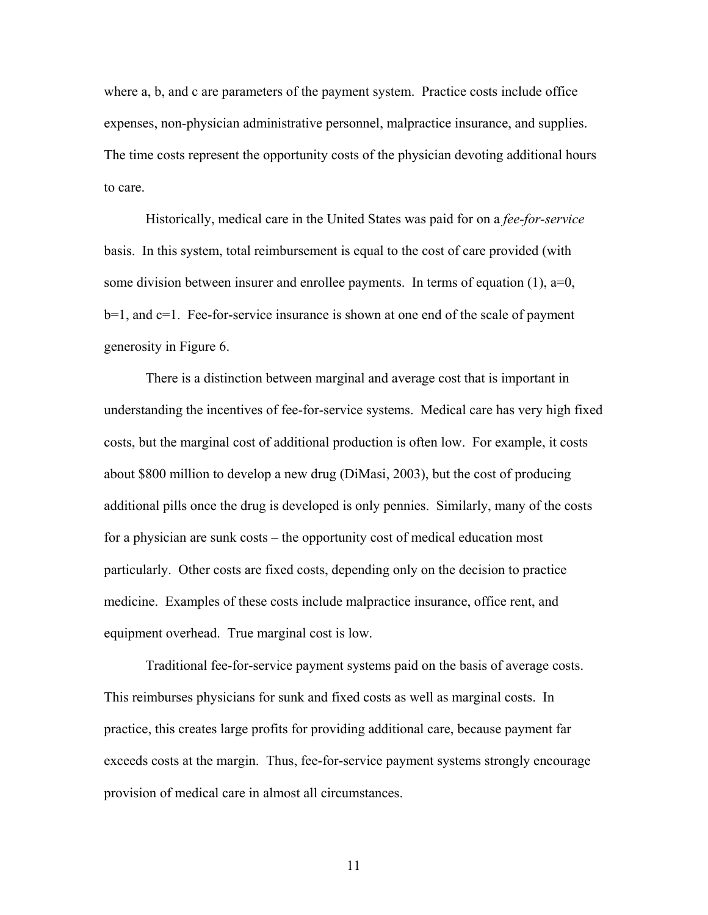where a, b, and c are parameters of the payment system. Practice costs include office expenses, non-physician administrative personnel, malpractice insurance, and supplies. The time costs represent the opportunity costs of the physician devoting additional hours to care.

Historically, medical care in the United States was paid for on a *fee-for-service* basis. In this system, total reimbursement is equal to the cost of care provided (with some division between insurer and enrollee payments. In terms of equation  $(1)$ ,  $a=0$ ,  $b=1$ , and  $c=1$ . Fee-for-service insurance is shown at one end of the scale of payment generosity in Figure 6.

There is a distinction between marginal and average cost that is important in understanding the incentives of fee-for-service systems. Medical care has very high fixed costs, but the marginal cost of additional production is often low. For example, it costs about \$800 million to develop a new drug (DiMasi, 2003), but the cost of producing additional pills once the drug is developed is only pennies. Similarly, many of the costs for a physician are sunk costs – the opportunity cost of medical education most particularly. Other costs are fixed costs, depending only on the decision to practice medicine. Examples of these costs include malpractice insurance, office rent, and equipment overhead. True marginal cost is low.

Traditional fee-for-service payment systems paid on the basis of average costs. This reimburses physicians for sunk and fixed costs as well as marginal costs. In practice, this creates large profits for providing additional care, because payment far exceeds costs at the margin. Thus, fee-for-service payment systems strongly encourage provision of medical care in almost all circumstances.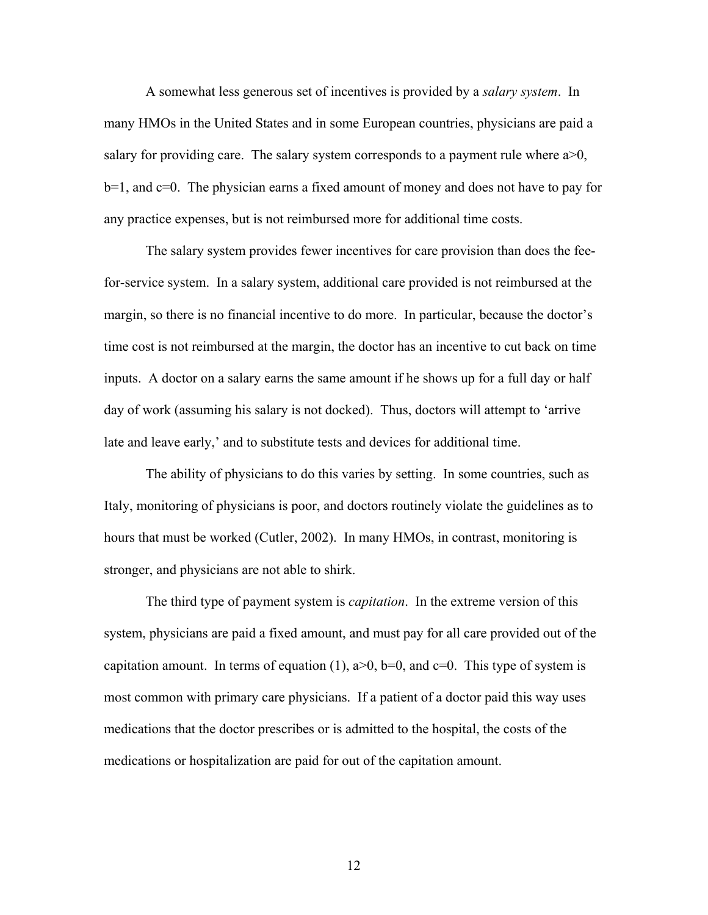A somewhat less generous set of incentives is provided by a *salary system*. In many HMOs in the United States and in some European countries, physicians are paid a salary for providing care. The salary system corresponds to a payment rule where  $a>0$ , b=1, and c=0. The physician earns a fixed amount of money and does not have to pay for any practice expenses, but is not reimbursed more for additional time costs.

The salary system provides fewer incentives for care provision than does the feefor-service system. In a salary system, additional care provided is not reimbursed at the margin, so there is no financial incentive to do more. In particular, because the doctor's time cost is not reimbursed at the margin, the doctor has an incentive to cut back on time inputs. A doctor on a salary earns the same amount if he shows up for a full day or half day of work (assuming his salary is not docked). Thus, doctors will attempt to 'arrive late and leave early,' and to substitute tests and devices for additional time.

The ability of physicians to do this varies by setting. In some countries, such as Italy, monitoring of physicians is poor, and doctors routinely violate the guidelines as to hours that must be worked (Cutler, 2002). In many HMOs, in contrast, monitoring is stronger, and physicians are not able to shirk.

The third type of payment system is *capitation*. In the extreme version of this system, physicians are paid a fixed amount, and must pay for all care provided out of the capitation amount. In terms of equation (1),  $a>0$ ,  $b=0$ , and  $c=0$ . This type of system is most common with primary care physicians. If a patient of a doctor paid this way uses medications that the doctor prescribes or is admitted to the hospital, the costs of the medications or hospitalization are paid for out of the capitation amount.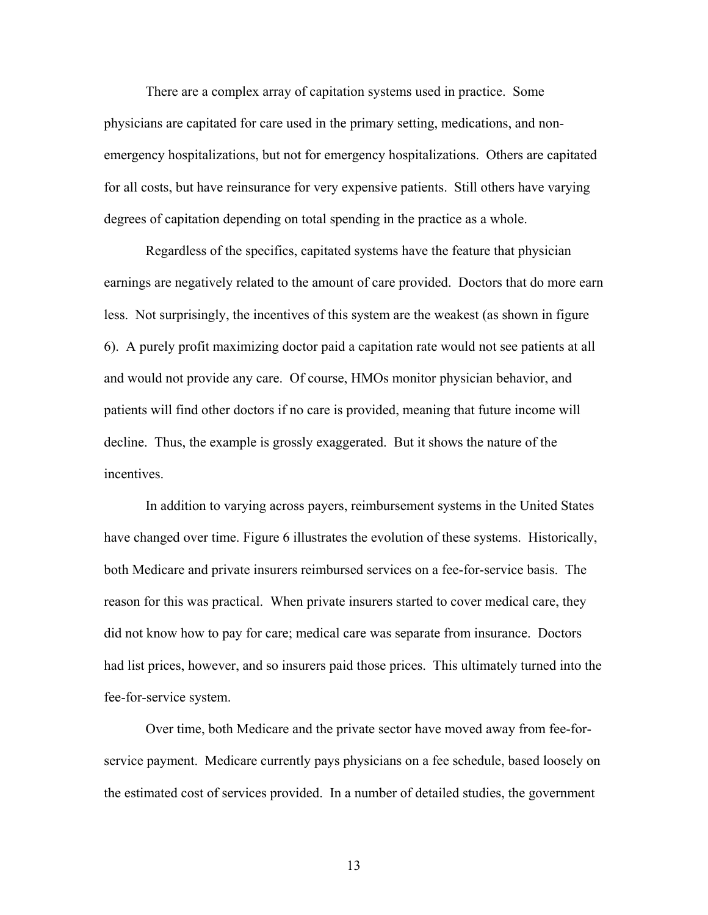There are a complex array of capitation systems used in practice. Some physicians are capitated for care used in the primary setting, medications, and nonemergency hospitalizations, but not for emergency hospitalizations. Others are capitated for all costs, but have reinsurance for very expensive patients. Still others have varying degrees of capitation depending on total spending in the practice as a whole.

Regardless of the specifics, capitated systems have the feature that physician earnings are negatively related to the amount of care provided. Doctors that do more earn less. Not surprisingly, the incentives of this system are the weakest (as shown in figure 6). A purely profit maximizing doctor paid a capitation rate would not see patients at all and would not provide any care. Of course, HMOs monitor physician behavior, and patients will find other doctors if no care is provided, meaning that future income will decline. Thus, the example is grossly exaggerated. But it shows the nature of the incentives.

In addition to varying across payers, reimbursement systems in the United States have changed over time. Figure 6 illustrates the evolution of these systems. Historically, both Medicare and private insurers reimbursed services on a fee-for-service basis. The reason for this was practical. When private insurers started to cover medical care, they did not know how to pay for care; medical care was separate from insurance. Doctors had list prices, however, and so insurers paid those prices. This ultimately turned into the fee-for-service system.

Over time, both Medicare and the private sector have moved away from fee-forservice payment. Medicare currently pays physicians on a fee schedule, based loosely on the estimated cost of services provided. In a number of detailed studies, the government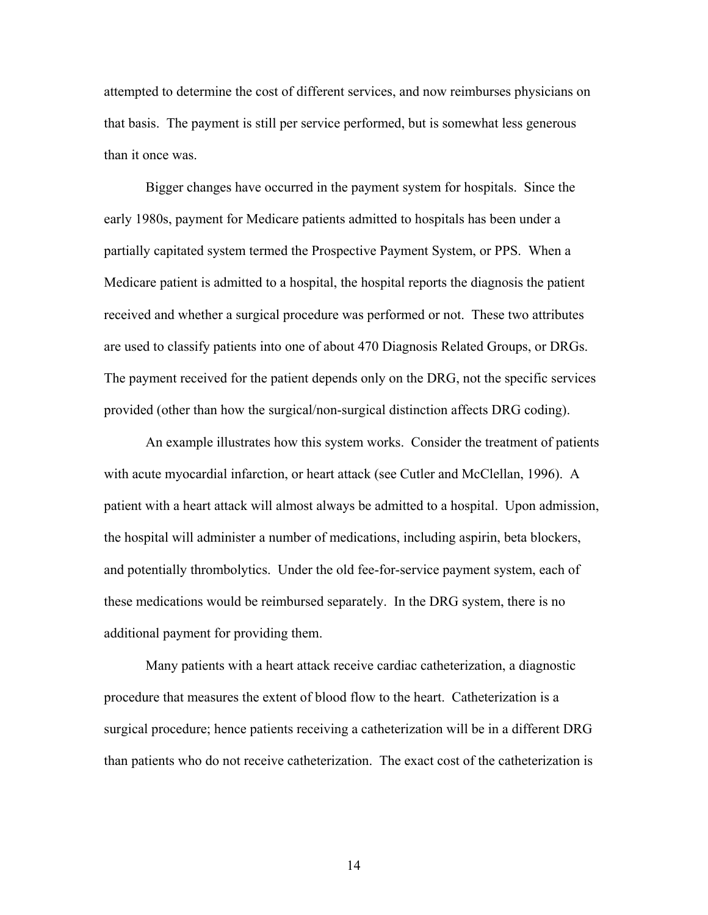attempted to determine the cost of different services, and now reimburses physicians on that basis. The payment is still per service performed, but is somewhat less generous than it once was.

Bigger changes have occurred in the payment system for hospitals. Since the early 1980s, payment for Medicare patients admitted to hospitals has been under a partially capitated system termed the Prospective Payment System, or PPS. When a Medicare patient is admitted to a hospital, the hospital reports the diagnosis the patient received and whether a surgical procedure was performed or not. These two attributes are used to classify patients into one of about 470 Diagnosis Related Groups, or DRGs. The payment received for the patient depends only on the DRG, not the specific services provided (other than how the surgical/non-surgical distinction affects DRG coding).

An example illustrates how this system works. Consider the treatment of patients with acute myocardial infarction, or heart attack (see Cutler and McClellan, 1996). A patient with a heart attack will almost always be admitted to a hospital. Upon admission, the hospital will administer a number of medications, including aspirin, beta blockers, and potentially thrombolytics. Under the old fee-for-service payment system, each of these medications would be reimbursed separately. In the DRG system, there is no additional payment for providing them.

Many patients with a heart attack receive cardiac catheterization, a diagnostic procedure that measures the extent of blood flow to the heart. Catheterization is a surgical procedure; hence patients receiving a catheterization will be in a different DRG than patients who do not receive catheterization. The exact cost of the catheterization is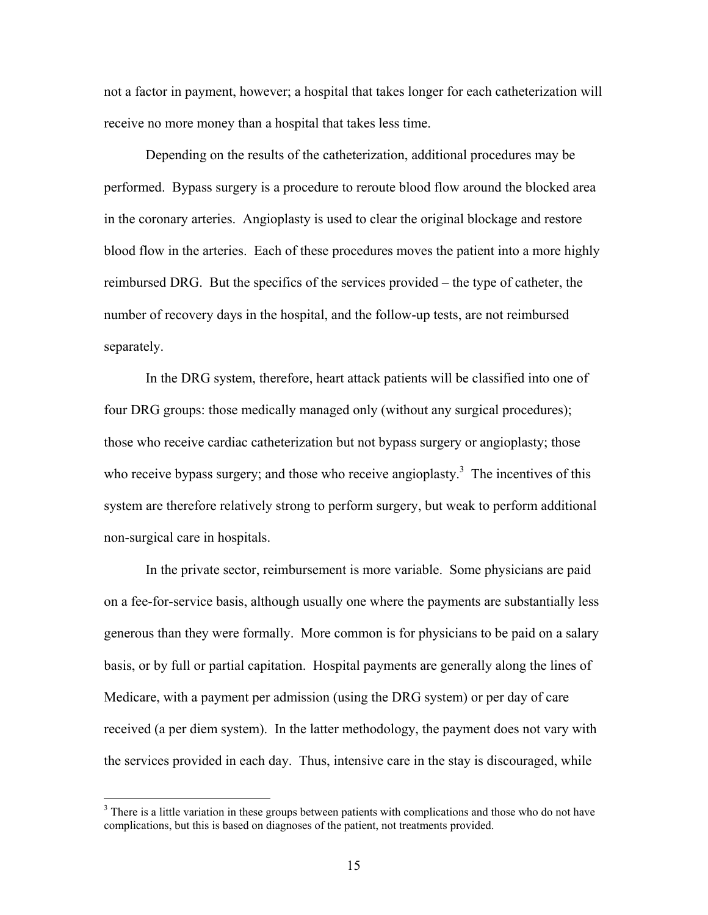not a factor in payment, however; a hospital that takes longer for each catheterization will receive no more money than a hospital that takes less time.

Depending on the results of the catheterization, additional procedures may be performed. Bypass surgery is a procedure to reroute blood flow around the blocked area in the coronary arteries. Angioplasty is used to clear the original blockage and restore blood flow in the arteries. Each of these procedures moves the patient into a more highly reimbursed DRG. But the specifics of the services provided – the type of catheter, the number of recovery days in the hospital, and the follow-up tests, are not reimbursed separately.

In the DRG system, therefore, heart attack patients will be classified into one of four DRG groups: those medically managed only (without any surgical procedures); those who receive cardiac catheterization but not bypass surgery or angioplasty; those who receive bypass surgery; and those who receive angioplasty.<sup>3</sup> The incentives of this system are therefore relatively strong to perform surgery, but weak to perform additional non-surgical care in hospitals.

In the private sector, reimbursement is more variable. Some physicians are paid on a fee-for-service basis, although usually one where the payments are substantially less generous than they were formally. More common is for physicians to be paid on a salary basis, or by full or partial capitation. Hospital payments are generally along the lines of Medicare, with a payment per admission (using the DRG system) or per day of care received (a per diem system). In the latter methodology, the payment does not vary with the services provided in each day. Thus, intensive care in the stay is discouraged, while

<sup>&</sup>lt;sup>3</sup> There is a little variation in these groups between patients with complications and those who do not have complications, but this is based on diagnoses of the patient, not treatments provided.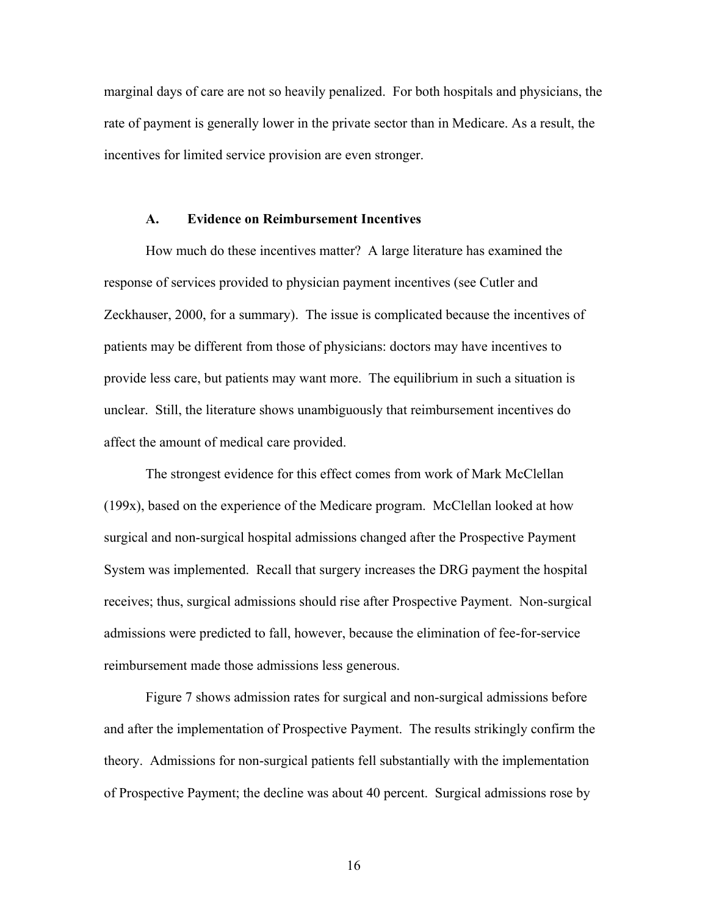marginal days of care are not so heavily penalized. For both hospitals and physicians, the rate of payment is generally lower in the private sector than in Medicare. As a result, the incentives for limited service provision are even stronger.

#### **A. Evidence on Reimbursement Incentives**

How much do these incentives matter? A large literature has examined the response of services provided to physician payment incentives (see Cutler and Zeckhauser, 2000, for a summary). The issue is complicated because the incentives of patients may be different from those of physicians: doctors may have incentives to provide less care, but patients may want more. The equilibrium in such a situation is unclear. Still, the literature shows unambiguously that reimbursement incentives do affect the amount of medical care provided.

The strongest evidence for this effect comes from work of Mark McClellan (199x), based on the experience of the Medicare program. McClellan looked at how surgical and non-surgical hospital admissions changed after the Prospective Payment System was implemented. Recall that surgery increases the DRG payment the hospital receives; thus, surgical admissions should rise after Prospective Payment. Non-surgical admissions were predicted to fall, however, because the elimination of fee-for-service reimbursement made those admissions less generous.

Figure 7 shows admission rates for surgical and non-surgical admissions before and after the implementation of Prospective Payment. The results strikingly confirm the theory. Admissions for non-surgical patients fell substantially with the implementation of Prospective Payment; the decline was about 40 percent. Surgical admissions rose by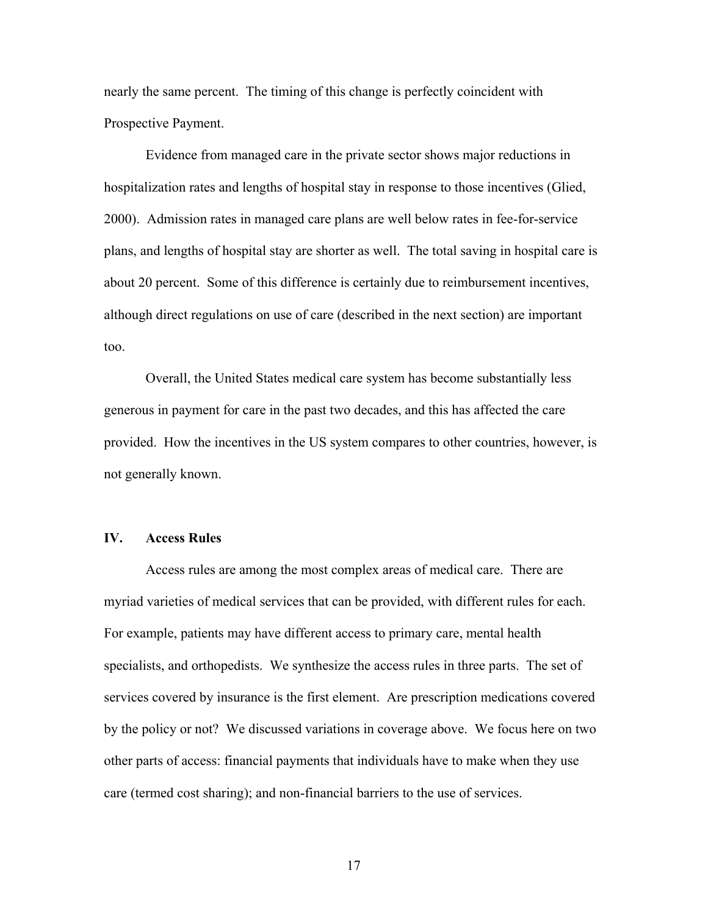nearly the same percent. The timing of this change is perfectly coincident with Prospective Payment.

Evidence from managed care in the private sector shows major reductions in hospitalization rates and lengths of hospital stay in response to those incentives (Glied, 2000). Admission rates in managed care plans are well below rates in fee-for-service plans, and lengths of hospital stay are shorter as well. The total saving in hospital care is about 20 percent. Some of this difference is certainly due to reimbursement incentives, although direct regulations on use of care (described in the next section) are important too.

Overall, the United States medical care system has become substantially less generous in payment for care in the past two decades, and this has affected the care provided. How the incentives in the US system compares to other countries, however, is not generally known.

#### **IV. Access Rules**

 Access rules are among the most complex areas of medical care. There are myriad varieties of medical services that can be provided, with different rules for each. For example, patients may have different access to primary care, mental health specialists, and orthopedists. We synthesize the access rules in three parts. The set of services covered by insurance is the first element. Are prescription medications covered by the policy or not? We discussed variations in coverage above. We focus here on two other parts of access: financial payments that individuals have to make when they use care (termed cost sharing); and non-financial barriers to the use of services.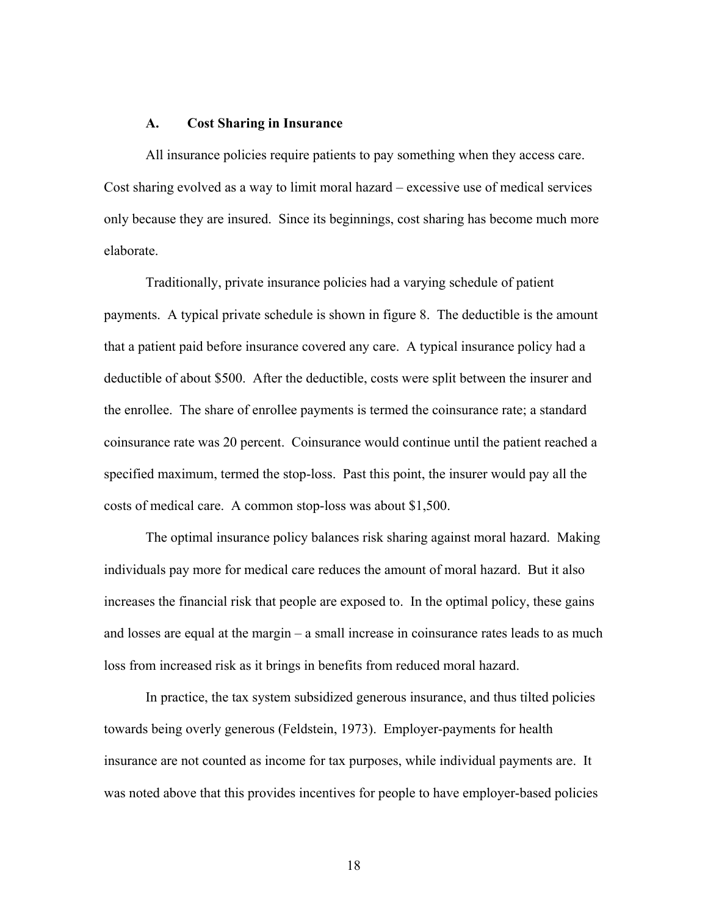#### **A. Cost Sharing in Insurance**

All insurance policies require patients to pay something when they access care. Cost sharing evolved as a way to limit moral hazard – excessive use of medical services only because they are insured. Since its beginnings, cost sharing has become much more elaborate.

Traditionally, private insurance policies had a varying schedule of patient payments. A typical private schedule is shown in figure 8. The deductible is the amount that a patient paid before insurance covered any care. A typical insurance policy had a deductible of about \$500. After the deductible, costs were split between the insurer and the enrollee. The share of enrollee payments is termed the coinsurance rate; a standard coinsurance rate was 20 percent. Coinsurance would continue until the patient reached a specified maximum, termed the stop-loss. Past this point, the insurer would pay all the costs of medical care. A common stop-loss was about \$1,500.

The optimal insurance policy balances risk sharing against moral hazard. Making individuals pay more for medical care reduces the amount of moral hazard. But it also increases the financial risk that people are exposed to. In the optimal policy, these gains and losses are equal at the margin – a small increase in coinsurance rates leads to as much loss from increased risk as it brings in benefits from reduced moral hazard.

In practice, the tax system subsidized generous insurance, and thus tilted policies towards being overly generous (Feldstein, 1973). Employer-payments for health insurance are not counted as income for tax purposes, while individual payments are. It was noted above that this provides incentives for people to have employer-based policies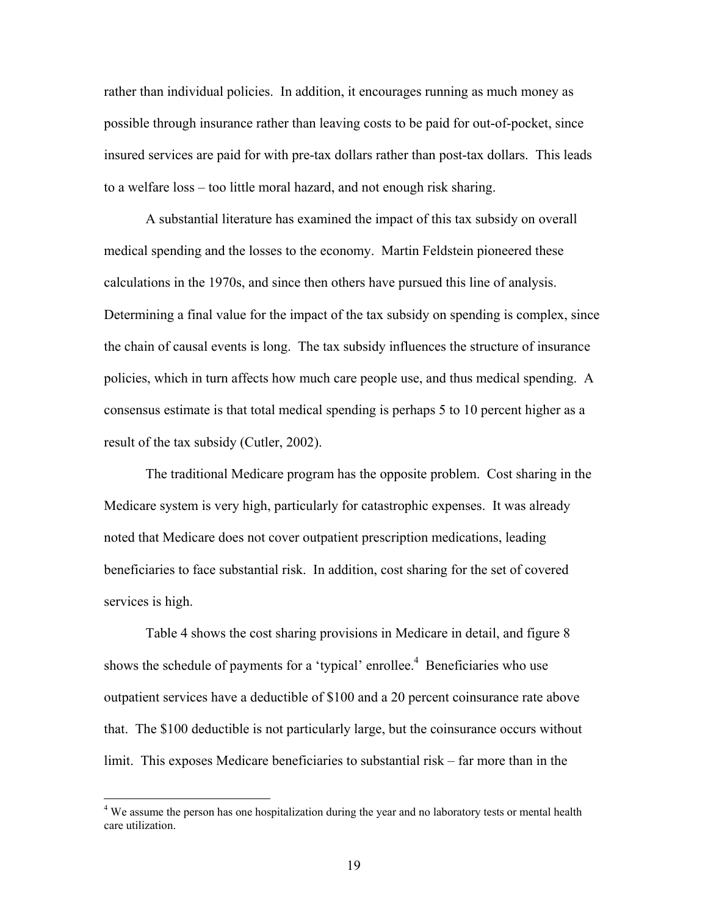rather than individual policies. In addition, it encourages running as much money as possible through insurance rather than leaving costs to be paid for out-of-pocket, since insured services are paid for with pre-tax dollars rather than post-tax dollars. This leads to a welfare loss – too little moral hazard, and not enough risk sharing.

A substantial literature has examined the impact of this tax subsidy on overall medical spending and the losses to the economy. Martin Feldstein pioneered these calculations in the 1970s, and since then others have pursued this line of analysis. Determining a final value for the impact of the tax subsidy on spending is complex, since the chain of causal events is long. The tax subsidy influences the structure of insurance policies, which in turn affects how much care people use, and thus medical spending. A consensus estimate is that total medical spending is perhaps 5 to 10 percent higher as a result of the tax subsidy (Cutler, 2002).

The traditional Medicare program has the opposite problem. Cost sharing in the Medicare system is very high, particularly for catastrophic expenses. It was already noted that Medicare does not cover outpatient prescription medications, leading beneficiaries to face substantial risk. In addition, cost sharing for the set of covered services is high.

Table 4 shows the cost sharing provisions in Medicare in detail, and figure 8 shows the schedule of payments for a 'typical' enrollee.<sup>4</sup> Beneficiaries who use outpatient services have a deductible of \$100 and a 20 percent coinsurance rate above that. The \$100 deductible is not particularly large, but the coinsurance occurs without limit. This exposes Medicare beneficiaries to substantial risk – far more than in the

 $\overline{a}$ 

<sup>&</sup>lt;sup>4</sup> We assume the person has one hospitalization during the year and no laboratory tests or mental health care utilization.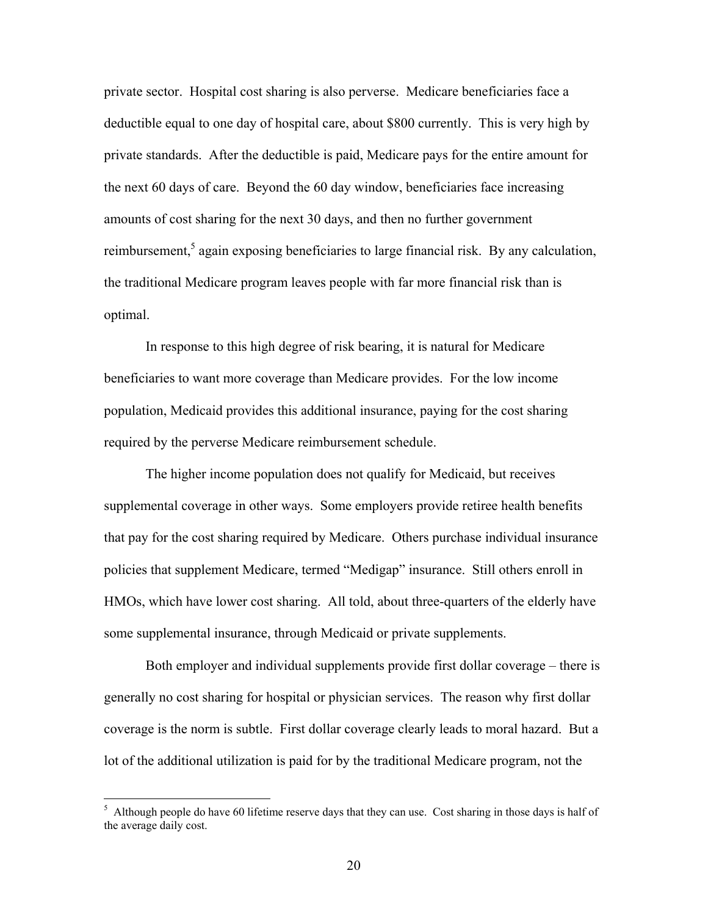private sector. Hospital cost sharing is also perverse. Medicare beneficiaries face a deductible equal to one day of hospital care, about \$800 currently. This is very high by private standards. After the deductible is paid, Medicare pays for the entire amount for the next 60 days of care. Beyond the 60 day window, beneficiaries face increasing amounts of cost sharing for the next 30 days, and then no further government reimbursement,<sup>5</sup> again exposing beneficiaries to large financial risk. By any calculation, the traditional Medicare program leaves people with far more financial risk than is optimal.

In response to this high degree of risk bearing, it is natural for Medicare beneficiaries to want more coverage than Medicare provides. For the low income population, Medicaid provides this additional insurance, paying for the cost sharing required by the perverse Medicare reimbursement schedule.

The higher income population does not qualify for Medicaid, but receives supplemental coverage in other ways. Some employers provide retiree health benefits that pay for the cost sharing required by Medicare. Others purchase individual insurance policies that supplement Medicare, termed "Medigap" insurance. Still others enroll in HMOs, which have lower cost sharing. All told, about three-quarters of the elderly have some supplemental insurance, through Medicaid or private supplements.

Both employer and individual supplements provide first dollar coverage – there is generally no cost sharing for hospital or physician services. The reason why first dollar coverage is the norm is subtle. First dollar coverage clearly leads to moral hazard. But a lot of the additional utilization is paid for by the traditional Medicare program, not the

<sup>&</sup>lt;sup>5</sup> Although people do have 60 lifetime reserve days that they can use. Cost sharing in those days is half of the average daily cost.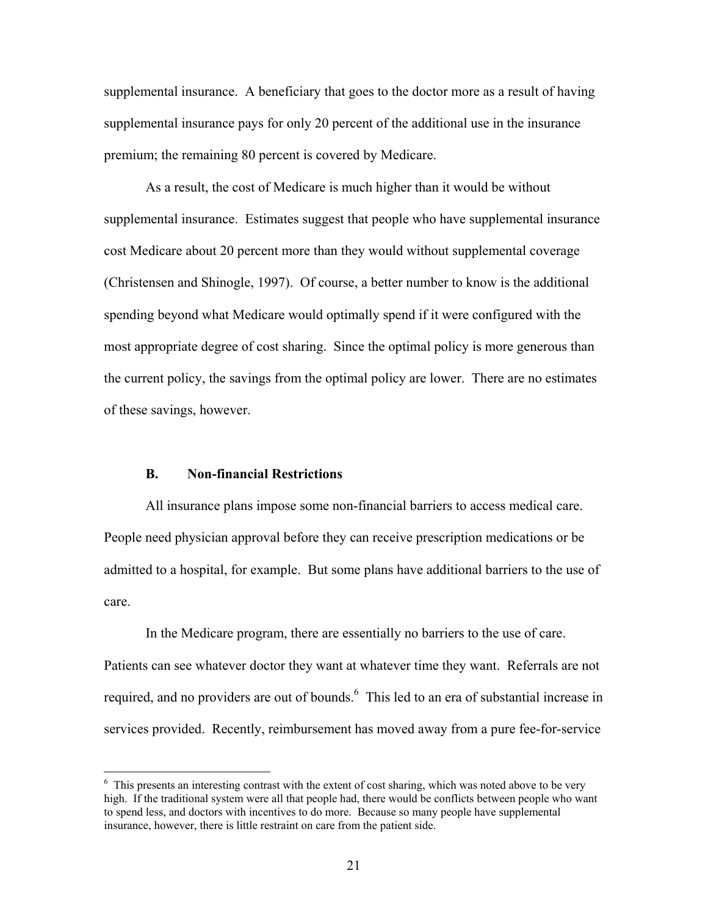supplemental insurance. A beneficiary that goes to the doctor more as a result of having supplemental insurance pays for only 20 percent of the additional use in the insurance premium; the remaining 80 percent is covered by Medicare.

As a result, the cost of Medicare is much higher than it would be without supplemental insurance. Estimates suggest that people who have supplemental insurance cost Medicare about 20 percent more than they would without supplemental coverage (Christensen and Shinogle, 1997). Of course, a better number to know is the additional spending beyond what Medicare would optimally spend if it were configured with the most appropriate degree of cost sharing. Since the optimal policy is more generous than the current policy, the savings from the optimal policy are lower. There are no estimates of these savings, however.

#### **B. Non-financial Restrictions**

All insurance plans impose some non-financial barriers to access medical care. People need physician approval before they can receive prescription medications or be admitted to a hospital, for example. But some plans have additional barriers to the use of care.

In the Medicare program, there are essentially no barriers to the use of care. Patients can see whatever doctor they want at whatever time they want. Referrals are not required, and no providers are out of bounds. <sup>6</sup> This led to an era of substantial increase in services provided. Recently, reimbursement has moved away from a pure fee-for-service

<sup>&</sup>lt;sup>6</sup> This presents an interesting contrast with the extent of cost sharing, which was noted above to be very high. If the traditional system were all that people had, there would be conflicts between people who want to spend less, and doctors with incentives to do more. Because so many people have supplemental insurance, however, there is little restraint on care from the patient side.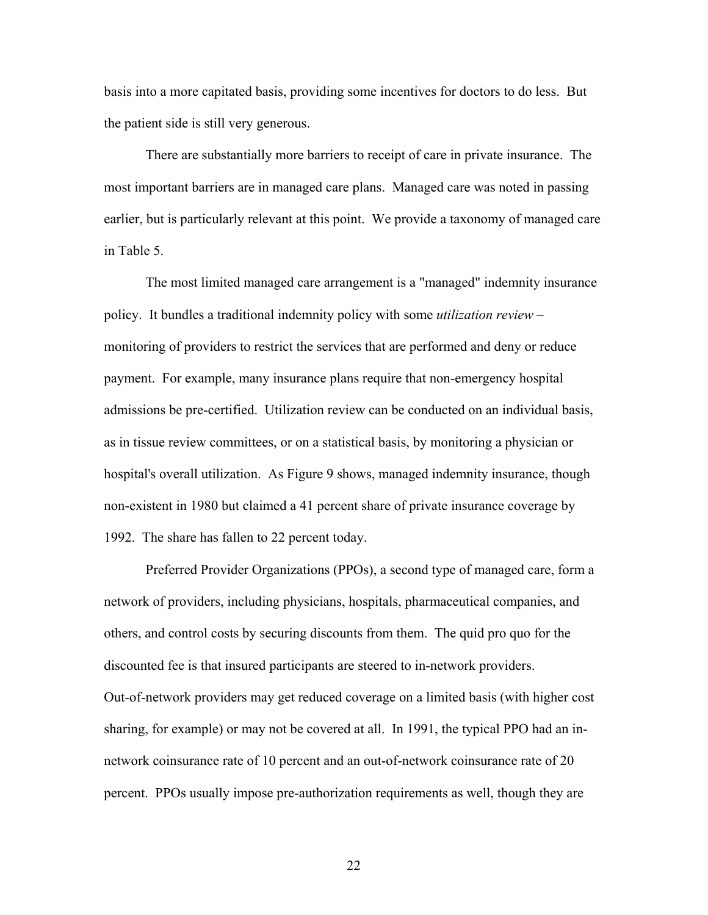basis into a more capitated basis, providing some incentives for doctors to do less. But the patient side is still very generous.

There are substantially more barriers to receipt of care in private insurance. The most important barriers are in managed care plans. Managed care was noted in passing earlier, but is particularly relevant at this point. We provide a taxonomy of managed care in Table 5.

 The most limited managed care arrangement is a "managed" indemnity insurance policy. It bundles a traditional indemnity policy with some *utilization review* – monitoring of providers to restrict the services that are performed and deny or reduce payment. For example, many insurance plans require that non-emergency hospital admissions be pre-certified. Utilization review can be conducted on an individual basis, as in tissue review committees, or on a statistical basis, by monitoring a physician or hospital's overall utilization. As Figure 9 shows, managed indemnity insurance, though non-existent in 1980 but claimed a 41 percent share of private insurance coverage by 1992. The share has fallen to 22 percent today.

 Preferred Provider Organizations (PPOs), a second type of managed care, form a network of providers, including physicians, hospitals, pharmaceutical companies, and others, and control costs by securing discounts from them. The quid pro quo for the discounted fee is that insured participants are steered to in-network providers. Out-of-network providers may get reduced coverage on a limited basis (with higher cost sharing, for example) or may not be covered at all. In 1991, the typical PPO had an innetwork coinsurance rate of 10 percent and an out-of-network coinsurance rate of 20 percent. PPOs usually impose pre-authorization requirements as well, though they are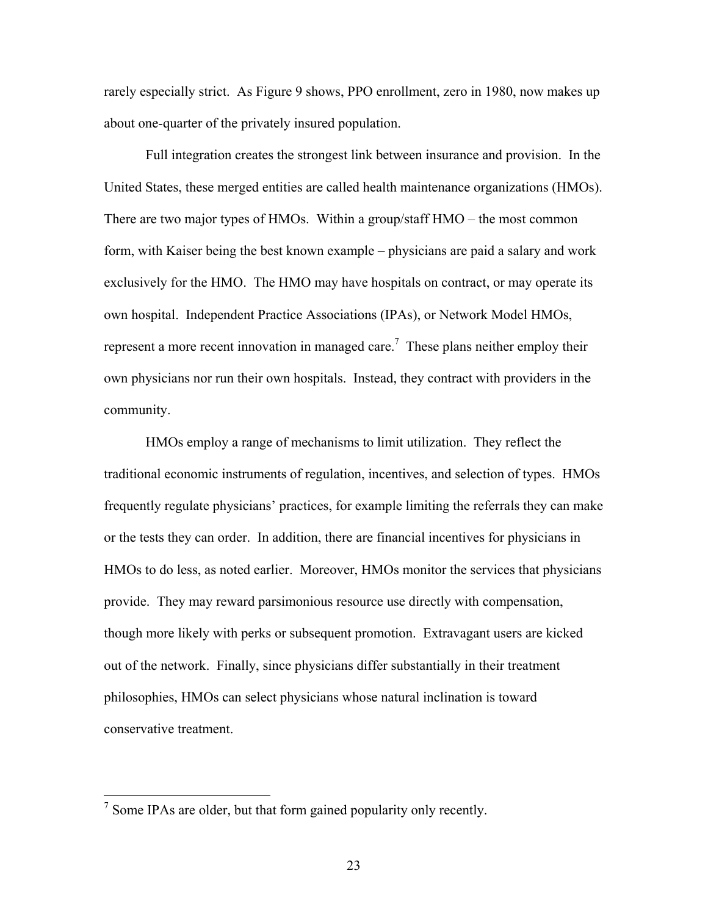rarely especially strict. As Figure 9 shows, PPO enrollment, zero in 1980, now makes up about one-quarter of the privately insured population.

 Full integration creates the strongest link between insurance and provision. In the United States, these merged entities are called health maintenance organizations (HMOs). There are two major types of HMOs. Within a group/staff HMO – the most common form, with Kaiser being the best known example – physicians are paid a salary and work exclusively for the HMO. The HMO may have hospitals on contract, or may operate its own hospital. Independent Practice Associations (IPAs), or Network Model HMOs, represent a more recent innovation in managed care.<sup>7</sup> These plans neither employ their own physicians nor run their own hospitals. Instead, they contract with providers in the community.

 HMOs employ a range of mechanisms to limit utilization. They reflect the traditional economic instruments of regulation, incentives, and selection of types. HMOs frequently regulate physicians' practices, for example limiting the referrals they can make or the tests they can order. In addition, there are financial incentives for physicians in HMOs to do less, as noted earlier. Moreover, HMOs monitor the services that physicians provide. They may reward parsimonious resource use directly with compensation, though more likely with perks or subsequent promotion. Extravagant users are kicked out of the network. Finally, since physicians differ substantially in their treatment philosophies, HMOs can select physicians whose natural inclination is toward conservative treatment.

<sup>&</sup>lt;sup>7</sup> Some IPAs are older, but that form gained popularity only recently.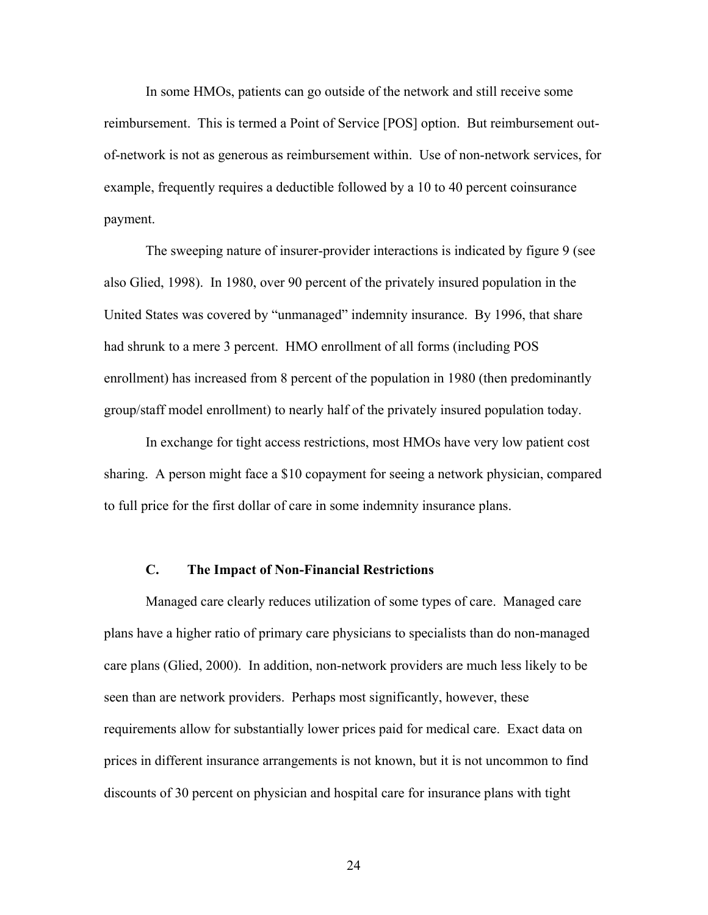In some HMOs, patients can go outside of the network and still receive some reimbursement. This is termed a Point of Service [POS] option. But reimbursement outof-network is not as generous as reimbursement within. Use of non-network services, for example, frequently requires a deductible followed by a 10 to 40 percent coinsurance payment.

 The sweeping nature of insurer-provider interactions is indicated by figure 9 (see also Glied, 1998). In 1980, over 90 percent of the privately insured population in the United States was covered by "unmanaged" indemnity insurance. By 1996, that share had shrunk to a mere 3 percent. HMO enrollment of all forms (including POS enrollment) has increased from 8 percent of the population in 1980 (then predominantly group/staff model enrollment) to nearly half of the privately insured population today.

 In exchange for tight access restrictions, most HMOs have very low patient cost sharing. A person might face a \$10 copayment for seeing a network physician, compared to full price for the first dollar of care in some indemnity insurance plans.

## **C. The Impact of Non-Financial Restrictions**

Managed care clearly reduces utilization of some types of care. Managed care plans have a higher ratio of primary care physicians to specialists than do non-managed care plans (Glied, 2000). In addition, non-network providers are much less likely to be seen than are network providers. Perhaps most significantly, however, these requirements allow for substantially lower prices paid for medical care. Exact data on prices in different insurance arrangements is not known, but it is not uncommon to find discounts of 30 percent on physician and hospital care for insurance plans with tight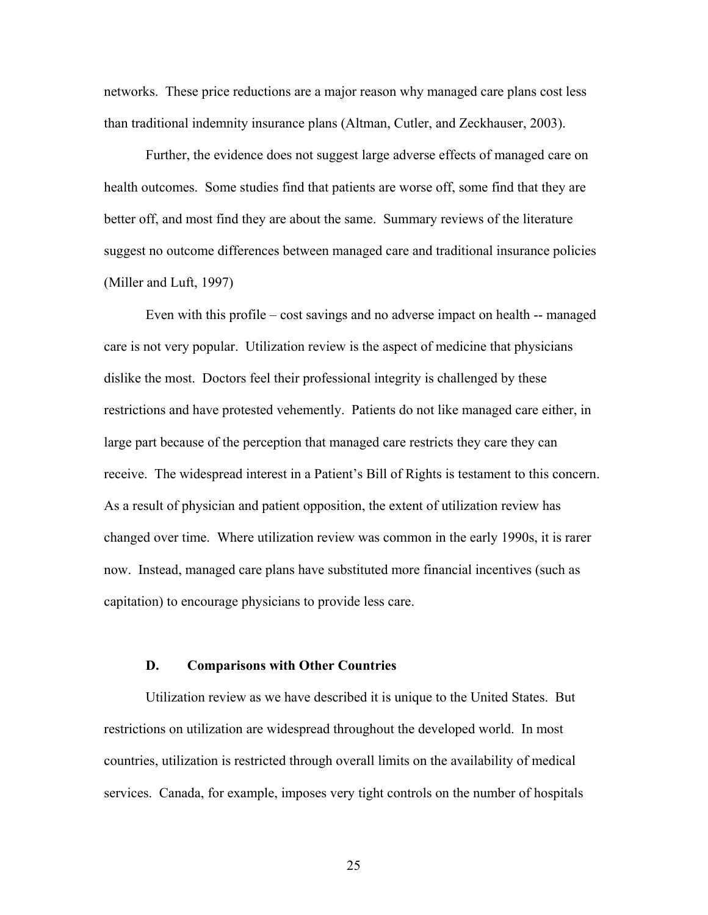networks. These price reductions are a major reason why managed care plans cost less than traditional indemnity insurance plans (Altman, Cutler, and Zeckhauser, 2003).

Further, the evidence does not suggest large adverse effects of managed care on health outcomes. Some studies find that patients are worse off, some find that they are better off, and most find they are about the same. Summary reviews of the literature suggest no outcome differences between managed care and traditional insurance policies (Miller and Luft, 1997)

Even with this profile – cost savings and no adverse impact on health -- managed care is not very popular. Utilization review is the aspect of medicine that physicians dislike the most. Doctors feel their professional integrity is challenged by these restrictions and have protested vehemently. Patients do not like managed care either, in large part because of the perception that managed care restricts they care they can receive. The widespread interest in a Patient's Bill of Rights is testament to this concern. As a result of physician and patient opposition, the extent of utilization review has changed over time. Where utilization review was common in the early 1990s, it is rarer now. Instead, managed care plans have substituted more financial incentives (such as capitation) to encourage physicians to provide less care.

#### **D. Comparisons with Other Countries**

Utilization review as we have described it is unique to the United States. But restrictions on utilization are widespread throughout the developed world. In most countries, utilization is restricted through overall limits on the availability of medical services. Canada, for example, imposes very tight controls on the number of hospitals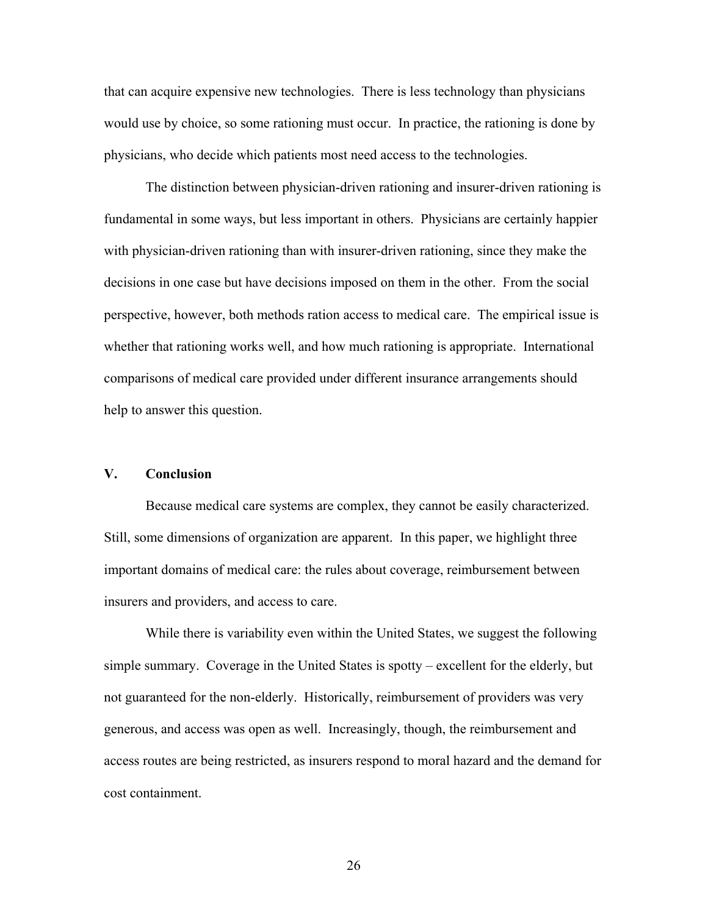that can acquire expensive new technologies. There is less technology than physicians would use by choice, so some rationing must occur. In practice, the rationing is done by physicians, who decide which patients most need access to the technologies.

The distinction between physician-driven rationing and insurer-driven rationing is fundamental in some ways, but less important in others. Physicians are certainly happier with physician-driven rationing than with insurer-driven rationing, since they make the decisions in one case but have decisions imposed on them in the other. From the social perspective, however, both methods ration access to medical care. The empirical issue is whether that rationing works well, and how much rationing is appropriate. International comparisons of medical care provided under different insurance arrangements should help to answer this question.

#### **V. Conclusion**

 Because medical care systems are complex, they cannot be easily characterized. Still, some dimensions of organization are apparent. In this paper, we highlight three important domains of medical care: the rules about coverage, reimbursement between insurers and providers, and access to care.

 While there is variability even within the United States, we suggest the following simple summary. Coverage in the United States is spotty – excellent for the elderly, but not guaranteed for the non-elderly. Historically, reimbursement of providers was very generous, and access was open as well. Increasingly, though, the reimbursement and access routes are being restricted, as insurers respond to moral hazard and the demand for cost containment.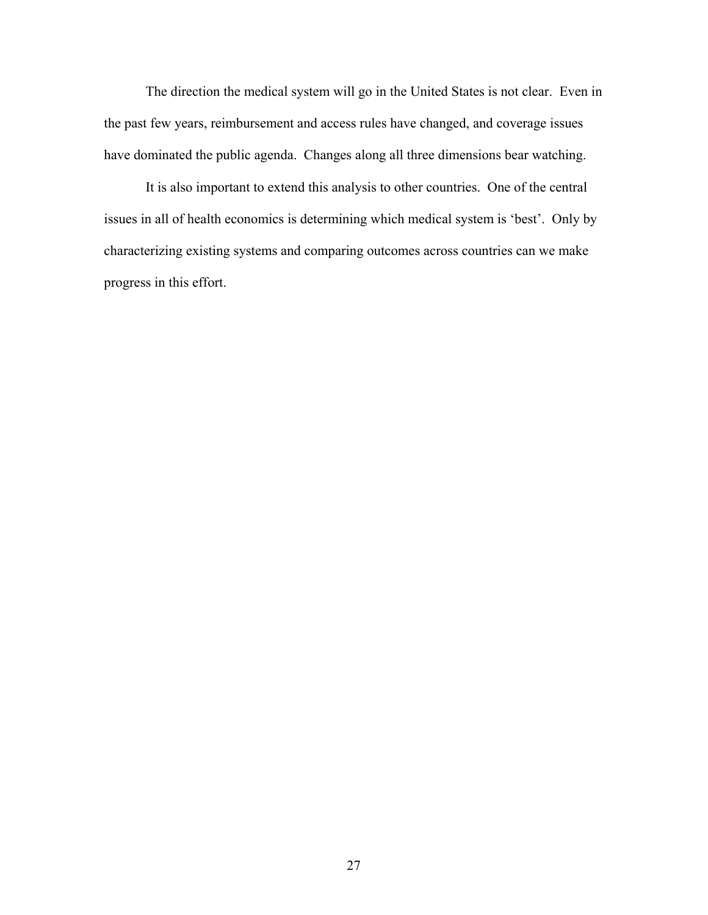The direction the medical system will go in the United States is not clear. Even in the past few years, reimbursement and access rules have changed, and coverage issues have dominated the public agenda. Changes along all three dimensions bear watching.

It is also important to extend this analysis to other countries. One of the central issues in all of health economics is determining which medical system is 'best'. Only by characterizing existing systems and comparing outcomes across countries can we make progress in this effort.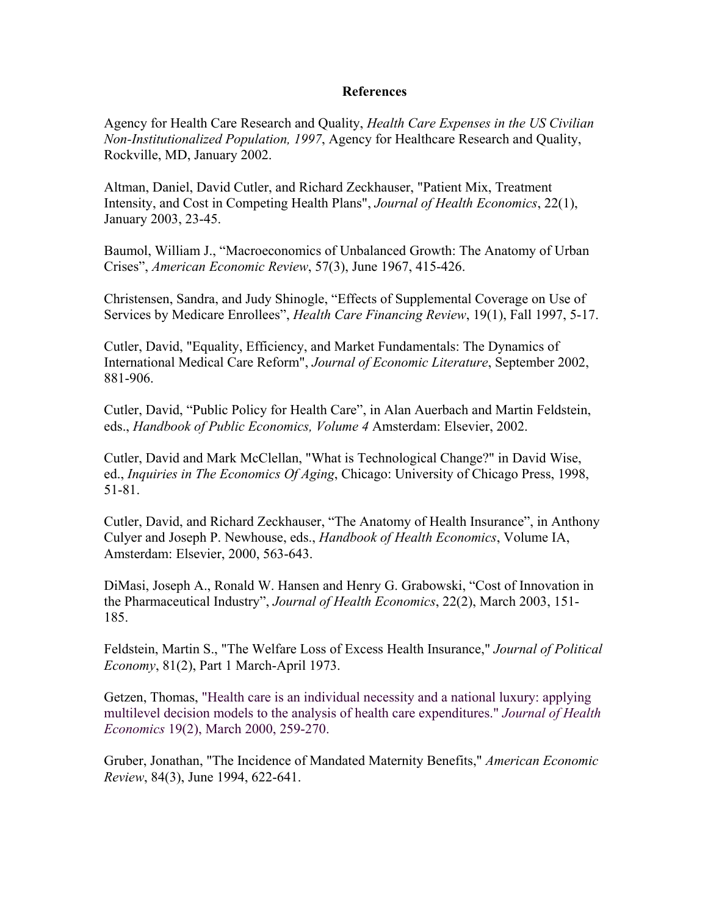### **References**

Agency for Health Care Research and Quality, *Health Care Expenses in the US Civilian Non-Institutionalized Population, 1997*, Agency for Healthcare Research and Quality, Rockville, MD, January 2002.

Altman, Daniel, David Cutler, and Richard Zeckhauser, "Patient Mix, Treatment Intensity, and Cost in Competing Health Plans", *Journal of Health Economics*, 22(1), January 2003, 23-45.

Baumol, William J., "Macroeconomics of Unbalanced Growth: The Anatomy of Urban Crises", *American Economic Review*, 57(3), June 1967, 415-426.

Christensen, Sandra, and Judy Shinogle, "Effects of Supplemental Coverage on Use of Services by Medicare Enrollees", *Health Care Financing Review*, 19(1), Fall 1997, 5-17.

Cutler, David, "Equality, Efficiency, and Market Fundamentals: The Dynamics of International Medical Care Reform", *Journal of Economic Literature*, September 2002, 881-906.

Cutler, David, "Public Policy for Health Care", in Alan Auerbach and Martin Feldstein, eds., *Handbook of Public Economics, Volume 4* Amsterdam: Elsevier, 2002.

Cutler, David and Mark McClellan, "What is Technological Change?" in David Wise, ed., *Inquiries in The Economics Of Aging*, Chicago: University of Chicago Press, 1998, 51-81.

Cutler, David, and Richard Zeckhauser, "The Anatomy of Health Insurance", in Anthony Culyer and Joseph P. Newhouse, eds., *Handbook of Health Economics*, Volume IA, Amsterdam: Elsevier, 2000, 563-643.

DiMasi, Joseph A., Ronald W. Hansen and Henry G. Grabowski, "Cost of Innovation in the Pharmaceutical Industry", *Journal of Health Economics*, 22(2), March 2003, 151- 185.

Feldstein, Martin S., "The Welfare Loss of Excess Health Insurance," *Journal of Political Economy*, 81(2), Part 1 March-April 1973.

Getzen, Thomas, "Health care is an individual necessity and a national luxury: applying multilevel decision models to the analysis of health care expenditures." *Journal of Health Economics* 19(2), March 2000, 259-270.

Gruber, Jonathan, "The Incidence of Mandated Maternity Benefits," *American Economic Review*, 84(3), June 1994, 622-641.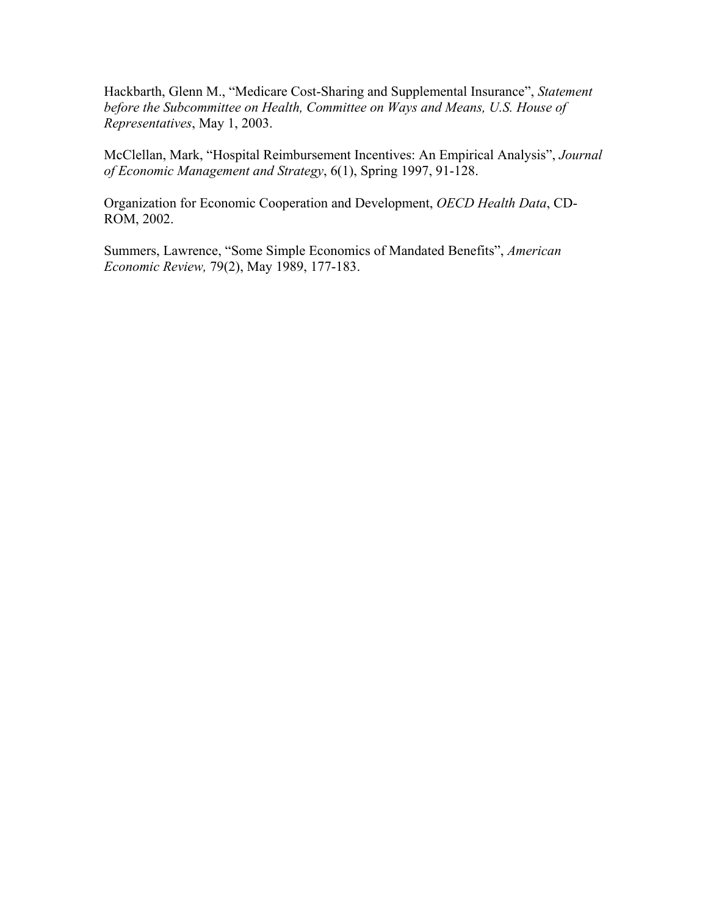Hackbarth, Glenn M., "Medicare Cost-Sharing and Supplemental Insurance", *Statement before the Subcommittee on Health, Committee on Ways and Means, U.S. House of Representatives*, May 1, 2003.

McClellan, Mark, "Hospital Reimbursement Incentives: An Empirical Analysis", *Journal of Economic Management and Strategy*, 6(1), Spring 1997, 91-128.

Organization for Economic Cooperation and Development, *OECD Health Data*, CD-ROM, 2002.

Summers, Lawrence, "Some Simple Economics of Mandated Benefits", *American Economic Review,* 79(2), May 1989, 177-183.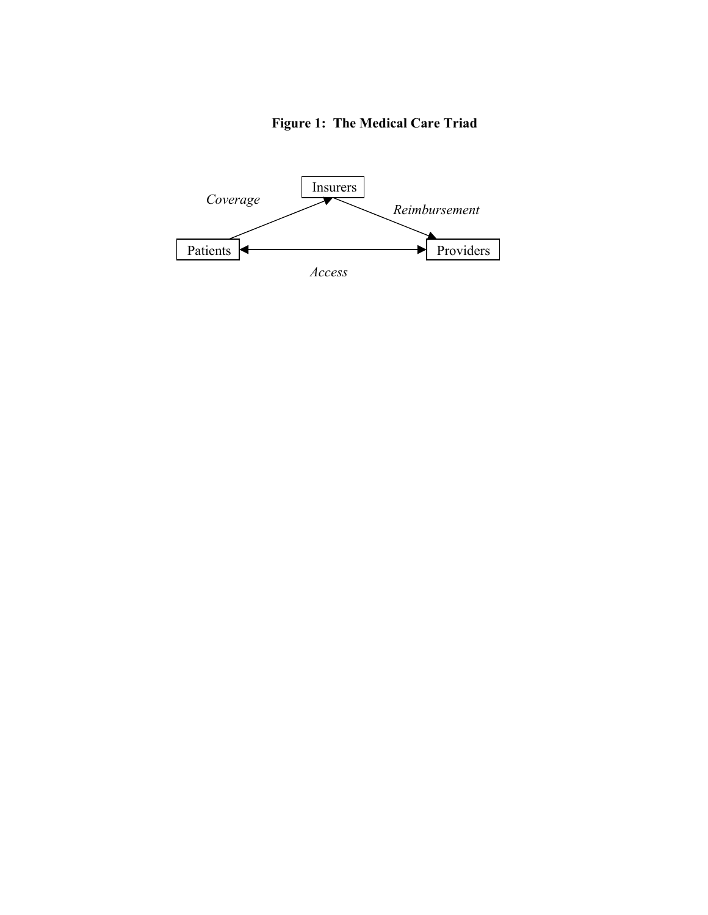

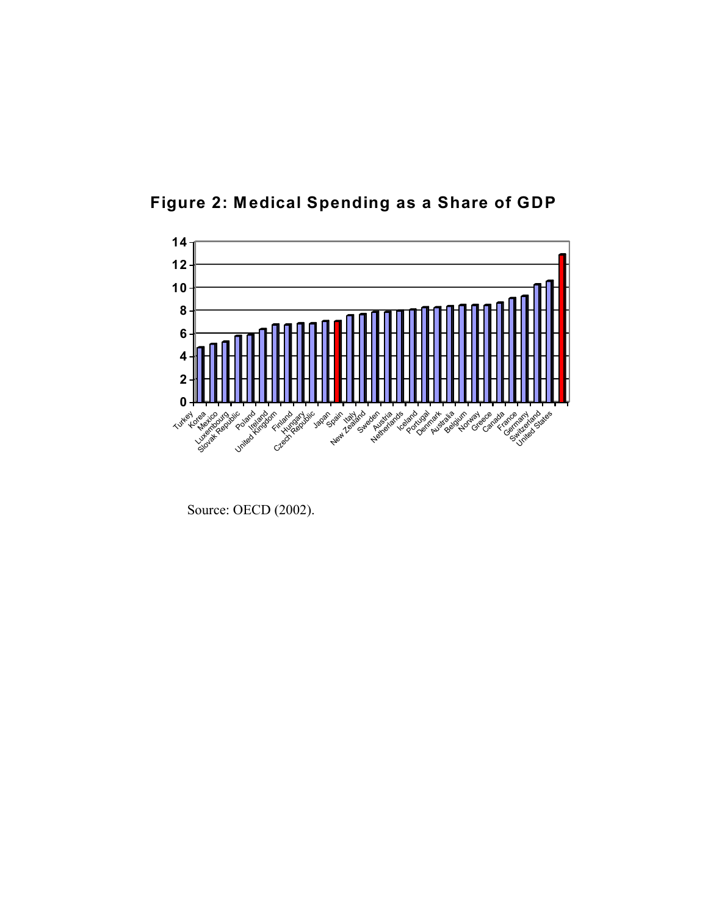

**Figure 2: Medical Spending as a Share of GDP**

Source: OECD (2002).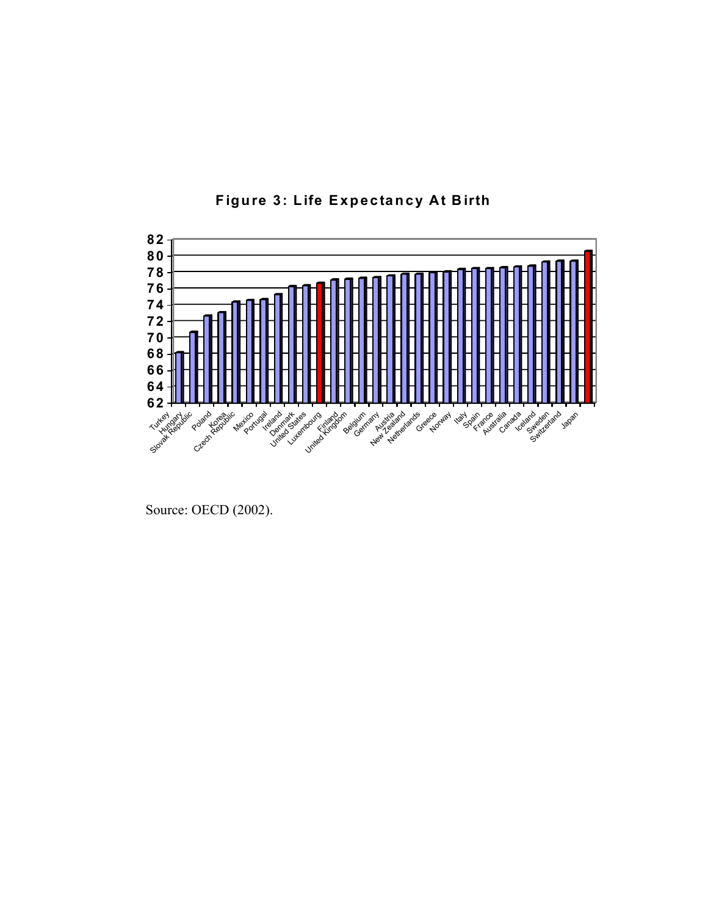

**Figure 3: Life Expectancy At Birth**

Source: OECD (2002).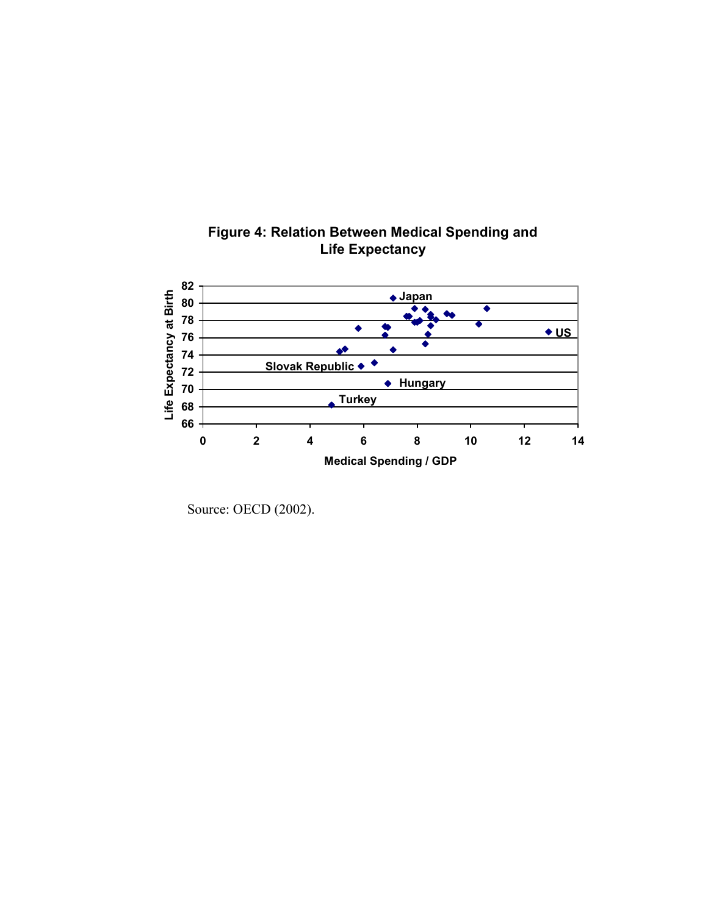

## **Figure 4: Relation Between Medical Spending and Life Expectancy**

Source: OECD (2002).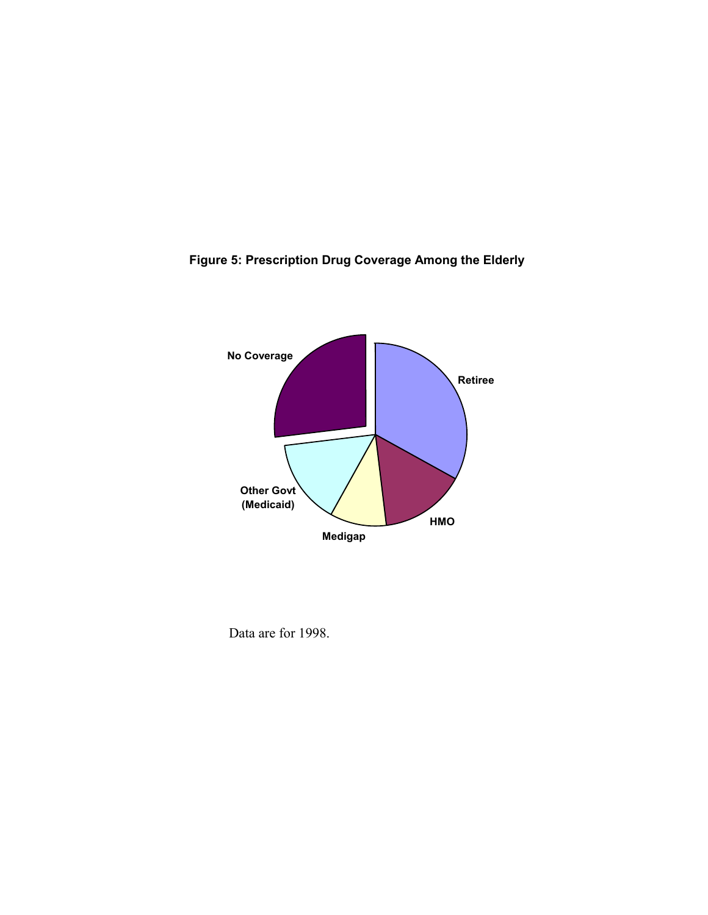

**Figure 5: Prescription Drug Coverage Among the Elderly**

Data are for 1998.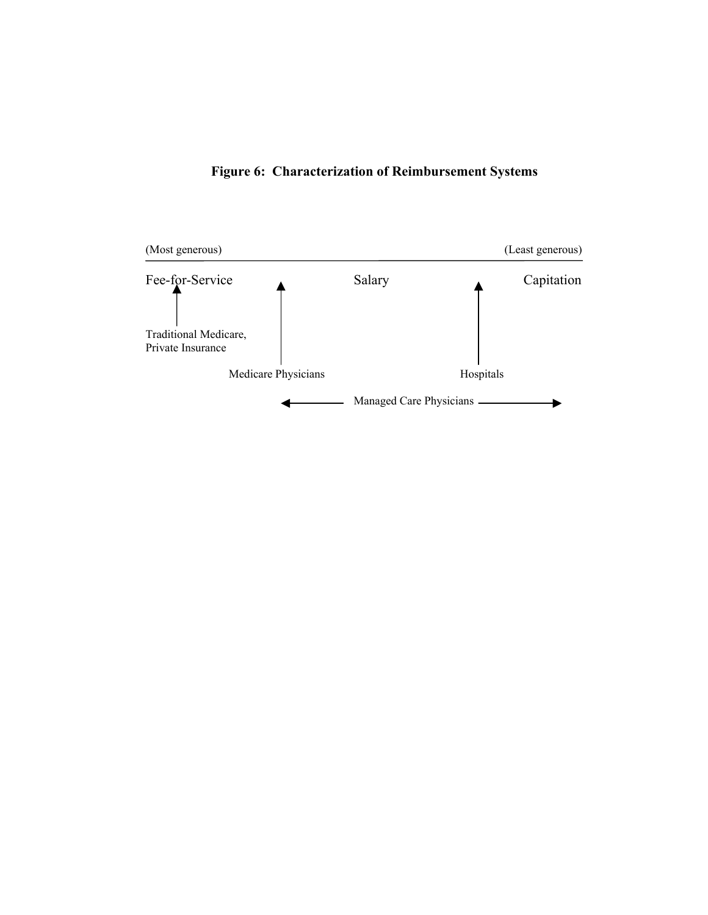

## **Figure 6: Characterization of Reimbursement Systems**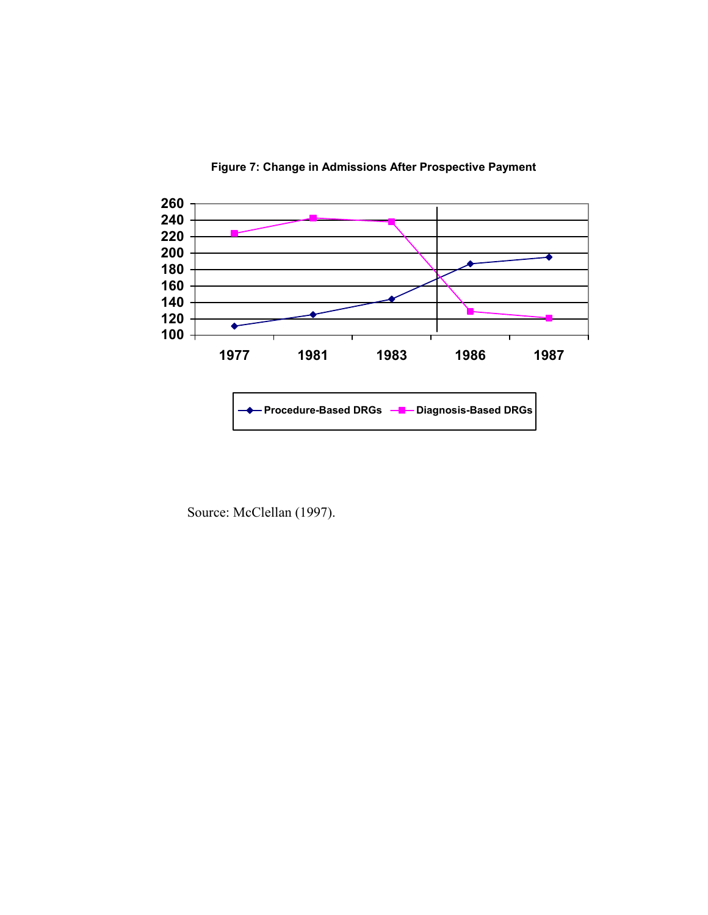

**Figure 7: Change in Admissions After Prospective Payment**

Source: McClellan (1997).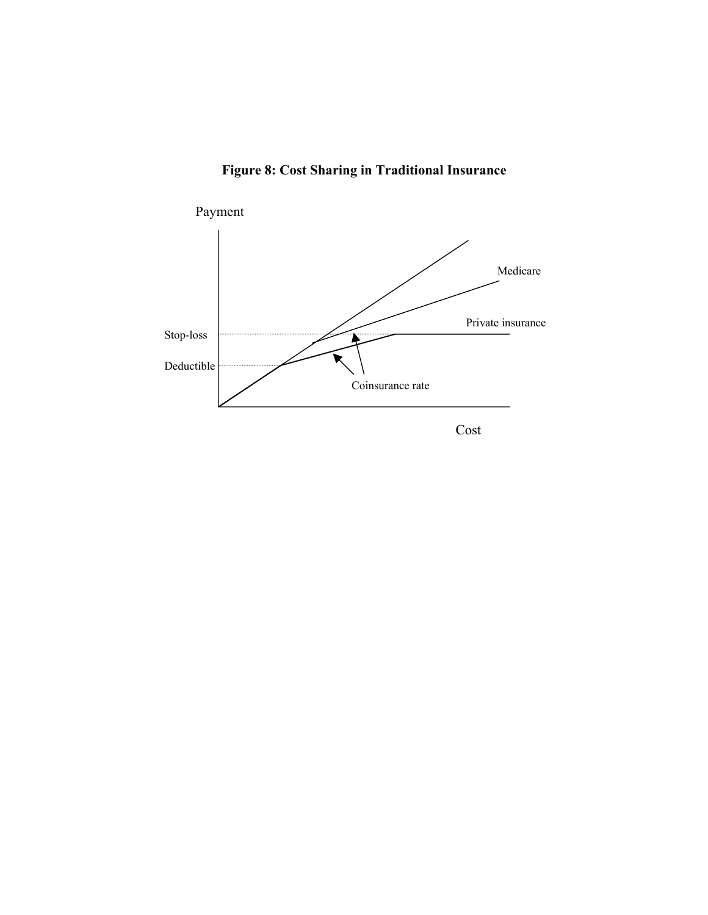

**Figure 8: Cost Sharing in Traditional Insurance** 

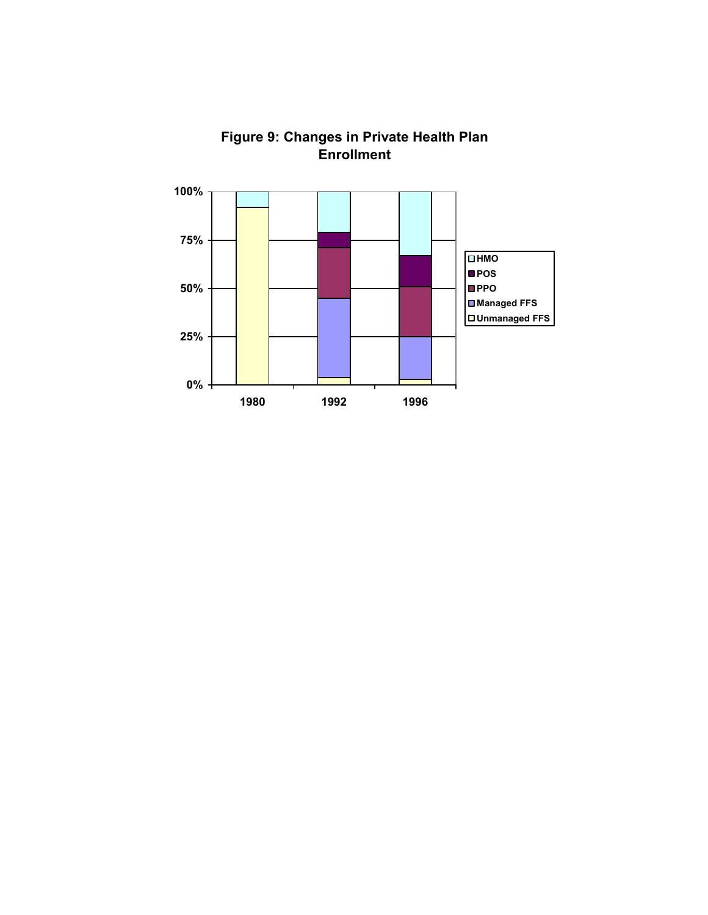

**Figure 9: Changes in Private Health Plan Enrollment**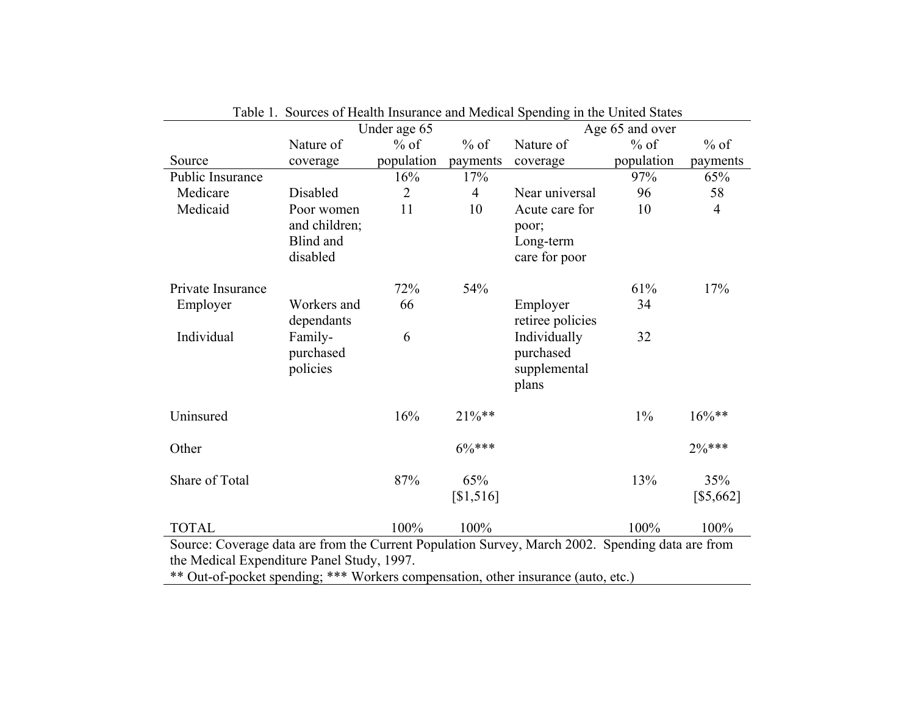|                                                                                                  | Under age 65     |            | Age 65 and over |                  |            |                |
|--------------------------------------------------------------------------------------------------|------------------|------------|-----------------|------------------|------------|----------------|
|                                                                                                  | Nature of        | $%$ of     | $%$ of          | Nature of        | $%$ of     | $%$ of         |
| Source                                                                                           | coverage         | population | payments        | coverage         | population | payments       |
| Public Insurance                                                                                 |                  | 16%        | 17%             |                  | 97%        | 65%            |
| Medicare                                                                                         | Disabled         | 2          | $\overline{4}$  | Near universal   | 96         | 58             |
| Medicaid                                                                                         | Poor women       | 11         | 10              | Acute care for   | 10         | $\overline{4}$ |
|                                                                                                  | and children;    |            |                 | poor;            |            |                |
|                                                                                                  | <b>Blind</b> and |            |                 | Long-term        |            |                |
|                                                                                                  | disabled         |            |                 | care for poor    |            |                |
| Private Insurance                                                                                |                  | 72%        | 54%             |                  | 61%        | 17%            |
| Employer                                                                                         | Workers and      | 66         |                 | Employer         | 34         |                |
|                                                                                                  | dependants       |            |                 | retiree policies |            |                |
| Individual                                                                                       | Family-          | 6          |                 | Individually     | 32         |                |
|                                                                                                  | purchased        |            |                 | purchased        |            |                |
|                                                                                                  | policies         |            |                 | supplemental     |            |                |
|                                                                                                  |                  |            |                 | plans            |            |                |
| Uninsured                                                                                        |                  | 16%        | 21%**           |                  | $1\%$      | $16\%**$       |
|                                                                                                  |                  |            |                 |                  |            |                |
| Other                                                                                            |                  |            | $6\%***$        |                  |            | $2\%***$       |
| Share of Total                                                                                   |                  | 87%        | 65%             |                  | 13%        | 35%            |
|                                                                                                  |                  |            | [\$1,516]       |                  |            | [\$5,662]      |
| <b>TOTAL</b>                                                                                     |                  | 100%       | 100%            |                  | 100%       | 100%           |
| Source: Coverage data are from the Current Population Survey, March 2002. Spending data are from |                  |            |                 |                  |            |                |
| the Medical Expenditure Panel Study, 1997.                                                       |                  |            |                 |                  |            |                |
| $**$ Out of needs to an inex $***$ Weylsex comparation other incurrence (extended)               |                  |            |                 |                  |            |                |

Table 1. Sources of Health Insurance and Medical Spending in the United States

\*\* Out-of-pocket spending; \*\*\* Workers compensation, other insurance (auto, etc.)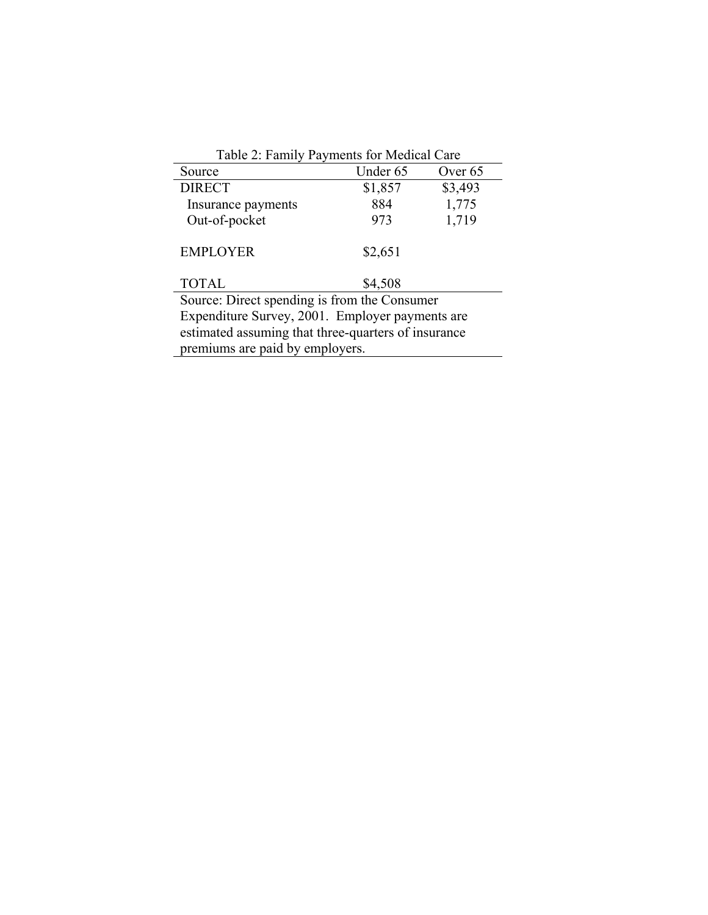| Table 2: Family Payments for Medical Care           |          |         |  |  |
|-----------------------------------------------------|----------|---------|--|--|
| Source                                              | Under 65 | Over 65 |  |  |
| <b>DIRECT</b>                                       | \$1,857  | \$3,493 |  |  |
| Insurance payments                                  | 884      | 1,775   |  |  |
| Out-of-pocket                                       | 973      | 1,719   |  |  |
|                                                     |          |         |  |  |
| <b>EMPLOYER</b>                                     | \$2,651  |         |  |  |
| <b>TOTAL</b>                                        | \$4,508  |         |  |  |
| Source: Direct spending is from the Consumer        |          |         |  |  |
| Expenditure Survey, 2001. Employer payments are     |          |         |  |  |
| estimated assuming that three-quarters of insurance |          |         |  |  |
| premiums are paid by employers.                     |          |         |  |  |
|                                                     |          |         |  |  |

Table 2: Family Payments for Medical Care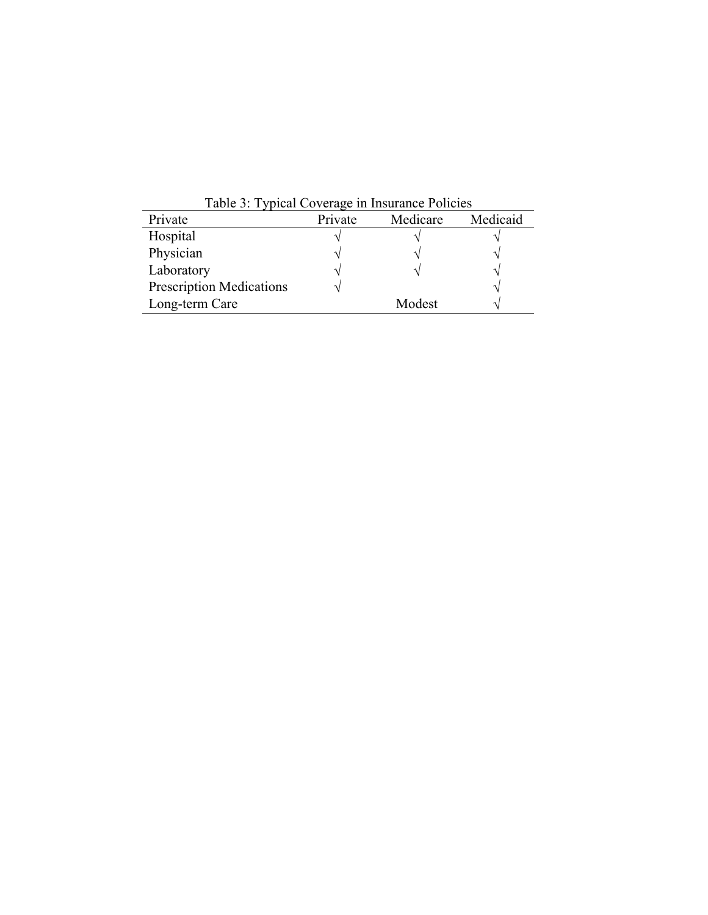| Private                         | Private | Medicare | Medicaid |
|---------------------------------|---------|----------|----------|
| Hospital                        |         |          |          |
| Physician                       |         |          |          |
| Laboratory                      |         |          |          |
| <b>Prescription Medications</b> |         |          |          |
| Long-term Care                  |         | Modest   |          |

Table 3: Typical Coverage in Insurance Policies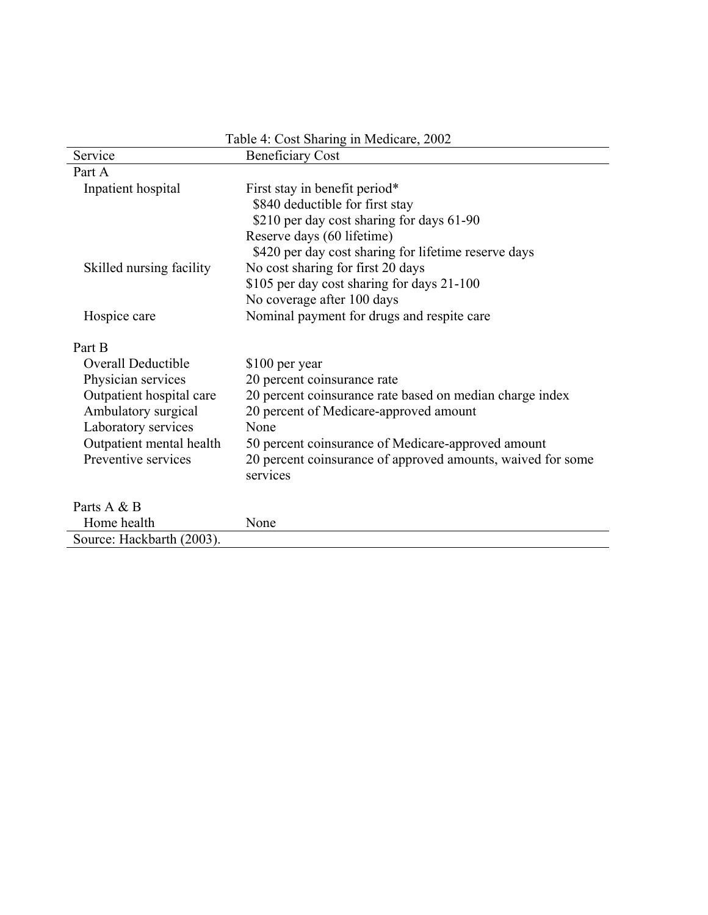| Table 4: Cost Sharing in Medicare, 2002 |                                                             |  |  |
|-----------------------------------------|-------------------------------------------------------------|--|--|
| Service<br><b>Beneficiary Cost</b>      |                                                             |  |  |
| Part A                                  |                                                             |  |  |
| Inpatient hospital                      | First stay in benefit period*                               |  |  |
|                                         | \$840 deductible for first stay                             |  |  |
|                                         | \$210 per day cost sharing for days 61-90                   |  |  |
|                                         | Reserve days (60 lifetime)                                  |  |  |
|                                         | \$420 per day cost sharing for lifetime reserve days        |  |  |
| Skilled nursing facility                | No cost sharing for first 20 days                           |  |  |
|                                         | \$105 per day cost sharing for days 21-100                  |  |  |
|                                         | No coverage after 100 days                                  |  |  |
| Hospice care                            | Nominal payment for drugs and respite care                  |  |  |
|                                         |                                                             |  |  |
| Part B                                  |                                                             |  |  |
| Overall Deductible                      | \$100 per year                                              |  |  |
| Physician services                      | 20 percent coinsurance rate                                 |  |  |
| Outpatient hospital care                | 20 percent coinsurance rate based on median charge index    |  |  |
| Ambulatory surgical                     | 20 percent of Medicare-approved amount                      |  |  |
| Laboratory services                     | None                                                        |  |  |
| Outpatient mental health                | 50 percent coinsurance of Medicare-approved amount          |  |  |
| Preventive services                     | 20 percent coinsurance of approved amounts, waived for some |  |  |
|                                         | services                                                    |  |  |
|                                         |                                                             |  |  |
| Parts A & B                             |                                                             |  |  |
| Home health                             | None                                                        |  |  |
| Source: Hackbarth (2003).               |                                                             |  |  |